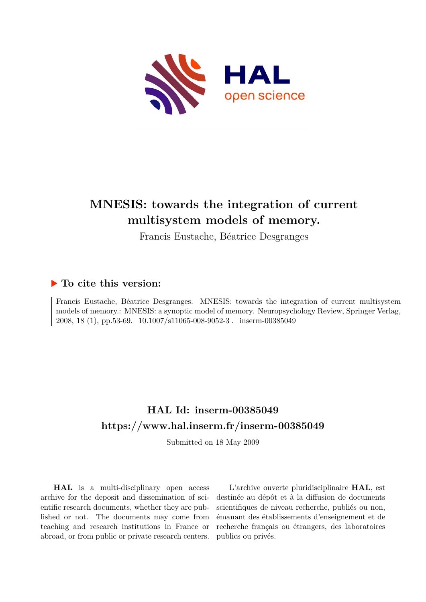

# **MNESIS: towards the integration of current multisystem models of memory.**

Francis Eustache, Béatrice Desgranges

# **To cite this version:**

Francis Eustache, Béatrice Desgranges. MNESIS: towards the integration of current multisystem models of memory.: MNESIS: a synoptic model of memory. Neuropsychology Review, Springer Verlag, 2008, 18 (1), pp.53-69. 10.1007/s11065-008-9052-3. inserm-00385049

# **HAL Id: inserm-00385049 <https://www.hal.inserm.fr/inserm-00385049>**

Submitted on 18 May 2009

**HAL** is a multi-disciplinary open access archive for the deposit and dissemination of scientific research documents, whether they are published or not. The documents may come from teaching and research institutions in France or abroad, or from public or private research centers.

L'archive ouverte pluridisciplinaire **HAL**, est destinée au dépôt et à la diffusion de documents scientifiques de niveau recherche, publiés ou non, émanant des établissements d'enseignement et de recherche français ou étrangers, des laboratoires publics ou privés.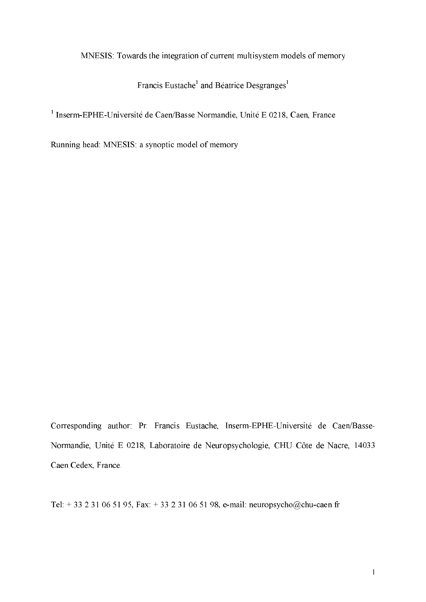# MNESIS: Towards the integration of current multisystem models of memory

Francis Eustache<sup>1</sup> and Béatrice Desgranges<sup>1</sup>

<sup>1</sup> Inserm-EPHE-Université de Caen/Basse Normandie, Unité E 0218, Caen, France

Running head: MNESIS: a synoptic model of memory

Corresponding author: Pr. Francis Eustache, Inserm-EPHE-Université de Caen/Basse-Normandie, Unité E 0218, Laboratoire de Neuropsychologie, CHU Côte de Nacre, 14033 Caen Cedex, France.

Tel: + 33 2 31 06 51 95, Fax: + 33 2 31 06 51 98, e-mail: neuropsycho@chu-caen.fr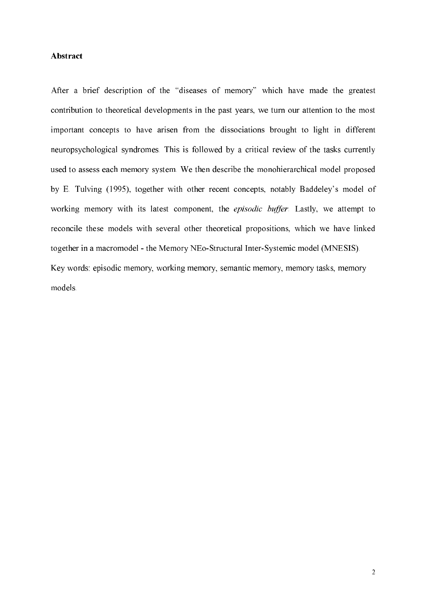# Abstract

After a brief description of the "diseases of memory" which have made the greatest contribution to theoretical developments in the past years, we turn our attention to the most important concepts to have arisen from the dissociations brought to light in different neuropsychological syndromes. This is followed by a critical review of the tasks currently used to assess each memory system. We then describe the monohierarchical model proposed by E. Tulving (1995), together with other recent concepts, notably Baddeley's model of working memory with its latest component, the *episodic buffer*. Lastly, we attempt to reconcile these models with several other theoretical propositions, which we have linked together in a macromodel - the Memory NEo-Structural Inter-Systemic model (MNESIS). Key words: episodic memory, working memory, semantic memory, memory tasks, memory models.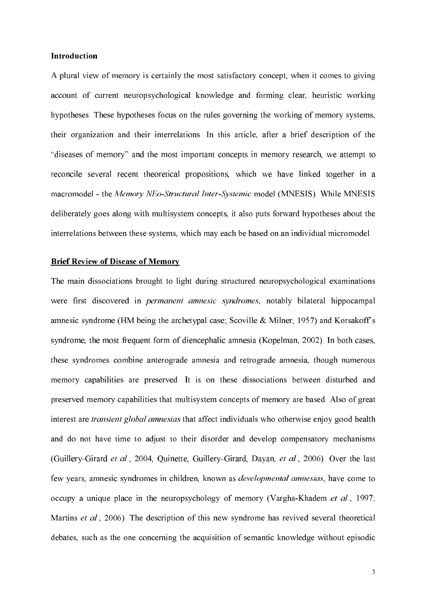# Introduction

A plural view of memory is certainly the most satisfactory concept, when it comes to giving account of current neuropsychological knowledge and forming clear, heuristic working hypotheses. These hypotheses focus on the rules governing the working of memory systems, their organization and their interrelations. In this article, after a brief description of the "diseases of memory" and the most important concepts in memory research, we attempt to reconcile several recent theoretical propositions, which we have linked together in a macromodel - the Memory NEo-Structural Inter-Systemic model (MNESIS). While MNESIS deliberately goes along with multisystem concepts, it also puts forward hypotheses about the interrelations between these systems, which may each be based on an individual micromodel.

## **Brief Review of Disease of Memory**

The main dissociations brought to light during structured neuropsychological examinations were first discovered in *permanent amnesic syndromes*, notably bilateral hippocampal amnesic syndrome (HM being the archetypal case; Scoville & Milner, 1957) and Korsakoff's syndrome, the most frequent form of diencephalic amnesia (Kopelman, 2002). In both cases, these syndromes combine anterograde amnesia and retrograde amnesia, though numerous memory capabilities are preserved. It is on these dissociations between disturbed and preserved memory capabilities that multisystem concepts of memory are based. Also of great interest are *transient global amnesias* that affect individuals who otherwise enjoy good health and do not have time to adjust to their disorder and develop compensatory mechanisms (Guillery-Girard et al., 2004, Quinette, Guillery-Girard, Dayan, et al., 2006). Over the last few years, amnesic syndromes in children, known as *developmental amnesias*, have come to occupy a unique place in the neuropsychology of memory (Vargha-Khadem et al., 1997; Martins et al., 2006). The description of this new syndrome has revived several theoretical debates, such as the one concerning the acquisition of semantic knowledge without episodic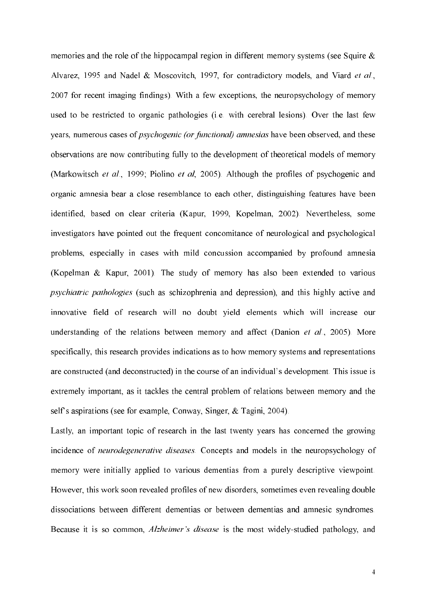memories and the role of the hippocampal region in different memory systems (see Squire  $\&$ Alvarez, 1995 and Nadel & Moscovitch, 1997, for contradictory models, and Viard et al., 2007 for recent imaging findings). With a few exceptions, the neuropsychology of memory used to be restricted to organic pathologies (i.e. with cerebral lesions). Over the last few years, numerous cases of *psychogenic (or functional) amnesias* have been observed, and these observations are now contributing fully to the development of theoretical models of memory (Markowitsch et al., 1999; Piolino et al, 2005). Although the profiles of psychogenic and organic amnesia bear a close resemblance to each other, distinguishing features have been identified, based on clear criteria (Kapur, 1999, Kopelman, 2002). Nevertheless, some investigators have pointed out the frequent concomitance of neurological and psychological problems, especially in cases with mild concussion accompanied by profound amnesia (Kopelman & Kapur, 2001). The study of memory has also been extended to various psychiatric pathologies (such as schizophrenia and depression), and this highly active and innovative field of research will no doubt yield elements which will increase our understanding of the relations between memory and affect (Danion et al., 2005). More specifically, this research provides indications as to how memory systems and representations are constructed (and deconstructed) in the course of an individual's development. This issue is extremely important, as it tackles the central problem of relations between memory and the self's aspirations (see for example, Conway, Singer, & Tagini, 2004).

Lastly, an important topic of research in the last twenty years has concerned the growing incidence of *neurodegenerative diseases*. Concepts and models in the neuropsychology of memory were initially applied to various dementias from a purely descriptive viewpoint. However, this work soon revealed profiles of new disorders, sometimes even revealing double dissociations between different dementias or between dementias and amnesic syndromes. Because it is so common, *Alzheimer's disease* is the most widely-studied pathology, and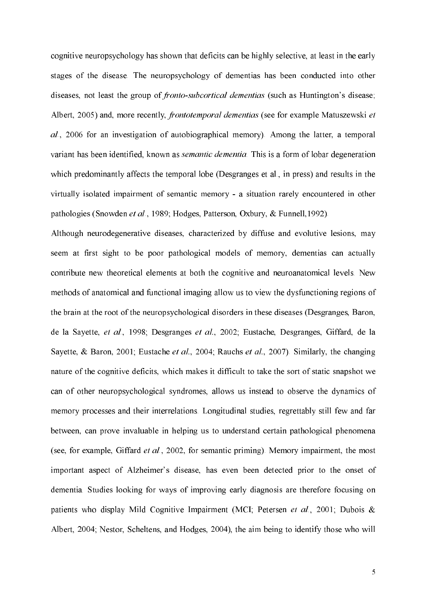cognitive neuropsychology has shown that deficits can be highly selective, at least in the early stages of the disease. The neuropsychology of dementias has been conducted into other diseases, not least the group of *fronto-subcortical dementias* (such as Huntington's disease; Albert, 2005) and, more recently, *frontotemporal dementias* (see for example Matuszewski et al., 2006 for an investigation of autobiographical memory). Among the latter, a temporal variant has been identified, known as *semantic dementia*. This is a form of lobar degeneration which predominantly affects the temporal lobe (Desgranges et al., in press) and results in the virtually isolated impairment of semantic memory - a situation rarely encountered in other pathologies (Snowden et al., 1989; Hodges, Patterson, Oxbury, & Funnell, 1992).

Although neurodegenerative diseases, characterized by diffuse and evolutive lesions, may seem at first sight to be poor pathological models of memory, dementias can actually contribute new theoretical elements at both the cognitive and neuroanatomical levels. New methods of anatomical and functional imaging allow us to view the dysfunctioning regions of the brain at the root of the neuropsychological disorders in these diseases (Desgranges, Baron, de la Sayette, et al., 1998; Desgranges et al., 2002; Eustache, Desgranges, Giffard, de la Sayette, & Baron, 2001; Eustache et al., 2004; Rauchs et al., 2007). Similarly, the changing nature of the cognitive deficits, which makes it difficult to take the sort of static snapshot we can of other neuropsychological syndromes, allows us instead to observe the dynamics of memory processes and their interrelations. Longitudinal studies, regrettably still few and far between, can prove invaluable in helping us to understand certain pathological phenomena (see, for example, Giffard et al., 2002, for semantic priming). Memory impairment, the most important aspect of Alzheimer's disease, has even been detected prior to the onset of dementia. Studies looking for ways of improving early diagnosis are therefore focusing on patients who display Mild Cognitive Impairment (MCI; Petersen et al., 2001; Dubois & Albert, 2004; Nestor, Scheltens, and Hodges, 2004), the aim being to identify those who will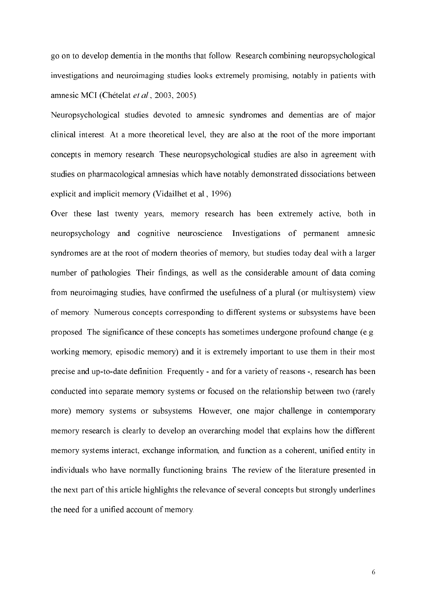go on to develop dementia in the months that follow. Research combining neuropsychological investigations and neuroimaging studies looks extremely promising, notably in patients with amnesic MCI (Chételat et al., 2003, 2005).

Neuropsychological studies devoted to amnesic syndromes and dementias are of major clinical interest. At a more theoretical level, they are also at the root of the more important concepts in memory research. These neuropsychological studies are also in agreement with studies on pharmacological amnesias which have notably demonstrated dissociations between explicit and implicit memory (Vidailhet et al., 1996).

Over these last twenty years, memory research has been extremely active, both in neuropsychology and cognitive neuroscience. Investigations of permanent amnesic syndromes are at the root of modern theories of memory, but studies today deal with a larger number of pathologies. Their findings, as well as the considerable amount of data coming from neuroimaging studies, have confirmed the usefulness of a plural (or multisystem) view of memory. Numerous concepts corresponding to different systems or subsystems have been proposed. The significance of these concepts has sometimes undergone profound change (e.g. working memory, episodic memory) and it is extremely important to use them in their most precise and up-to-date definition. Frequently - and for a variety of reasons -, research has been conducted into separate memory systems or focused on the relationship between two (rarely more) memory systems or subsystems. However, one major challenge in contemporary memory research is clearly to develop an overarching model that explains how the different memory systems interact, exchange information, and function as a coherent, unified entity in individuals who have normally functioning brains. The review of the literature presented in the next part of this article highlights the relevance of several concepts but strongly underlines the need for a unified account of memory.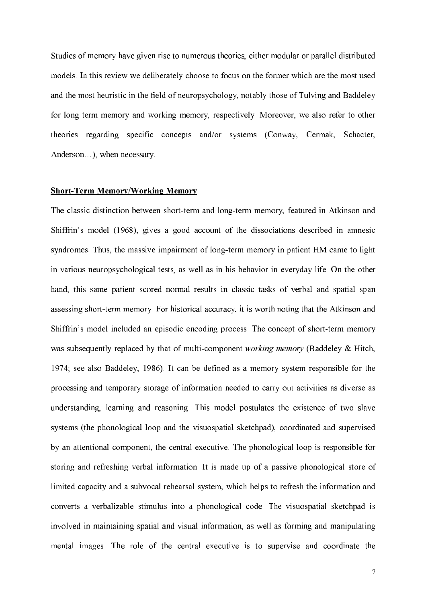Studies of memory have given rise to numerous theories, either modular or parallel distributed models. In this review we deliberately choose to focus on the former which are the most used and the most heuristic in the field of neuropsychology, notably those of Tulving and Baddeley for long term memory and working memory, respectively. Moreover, we also refer to other theories regarding specific concepts and/or systems (Conway, Cermak, Schacter, Anderson...), when necessary.

#### **Short-Term Memory/Working Memory**

The classic distinction between short-term and long-term memory, featured in Atkinson and Shiffrin's model (1968), gives a good account of the dissociations described in amnesic syndromes. Thus, the massive impairment of long-term memory in patient HM came to light in various neuropsychological tests, as well as in his behavior in everyday life. On the other hand, this same patient scored normal results in classic tasks of verbal and spatial span assessing short-term memory. For historical accuracy, it is worth noting that the Atkinson and Shiffrin's model included an episodic encoding process. The concept of short-term memory was subsequently replaced by that of multi-component *working memory* (Baddeley & Hitch, 1974; see also Baddeley, 1986). It can be defined as a memory system responsible for the processing and temporary storage of information needed to carry out activities as diverse as understanding, learning and reasoning. This model postulates the existence of two slave systems (the phonological loop and the visuospatial sketchpad), coordinated and supervised by an attentional component, the central executive. The phonological loop is responsible for storing and refreshing verbal information. It is made up of a passive phonological store of limited capacity and a subvocal rehearsal system, which helps to refresh the information and converts a verbalizable stimulus into a phonological code. The visuospatial sketchpad is involved in maintaining spatial and visual information, as well as forming and manipulating mental images. The role of the central executive is to supervise and coordinate the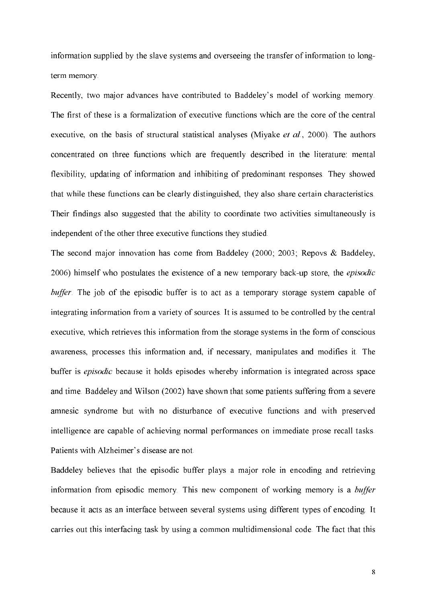information supplied by the slave systems and overseeing the transfer of information to longterm memory.

Recently, two major advances have contributed to Baddeley's model of working memory. The first of these is a formalization of executive functions which are the core of the central executive, on the basis of structural statistical analyses (Miyake et al., 2000). The authors concentrated on three functions which are frequently described in the literature: mental flexibility, updating of information and inhibiting of predominant responses. They showed that while these functions can be clearly distinguished, they also share certain characteristics. Their findings also suggested that the ability to coordinate two activities simultaneously is independent of the other three executive functions they studied.

The second major innovation has come from Baddeley (2000; 2003; Repovs & Baddeley, 2006) himself who postulates the existence of a new temporary back-up store, the *episodic* buffer. The job of the episodic buffer is to act as a temporary storage system capable of integrating information from a variety of sources. It is assumed to be controlled by the central executive, which retrieves this information from the storage systems in the form of conscious awareness, processes this information and, if necessary, manipulates and modifies it. The buffer is *episodic* because it holds episodes whereby information is integrated across space and time. Baddeley and Wilson (2002) have shown that some patients suffering from a severe amnesic syndrome but with no disturbance of executive functions and with preserved intelligence are capable of achieving normal performances on immediate prose recall tasks. Patients with Alzheimer's disease are not.

Baddeley believes that the episodic buffer plays a major role in encoding and retrieving information from episodic memory. This new component of working memory is a buffer because it acts as an interface between several systems using different types of encoding. It carries out this interfacing task by using a common multidimensional code. The fact that this

8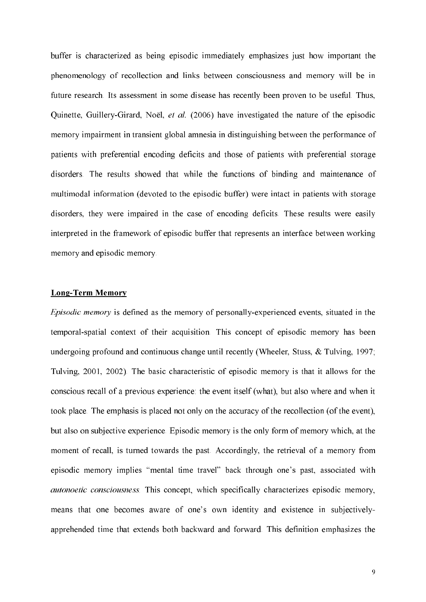buffer is characterized as being episodic immediately emphasizes just how important the phenomenology of recollection and links between consciousness and memory will be in future research. Its assessment in some disease has recently been proven to be useful. Thus, Quinette, Guillery-Girard, Noël, et al. (2006) have investigated the nature of the episodic memory impairment in transient global amnesia in distinguishing between the performance of patients with preferential encoding deficits and those of patients with preferential storage disorders. The results showed that while the functions of binding and maintenance of multimodal information (devoted to the episodic buffer) were intact in patients with storage disorders, they were impaired in the case of encoding deficits. These results were easily interpreted in the framework of episodic buffer that represents an interface between working memory and episodic memory.

# **Long-Term Memory**

*Episodic memory* is defined as the memory of personally-experienced events, situated in the temporal-spatial context of their acquisition. This concept of episodic memory has been undergoing profound and continuous change until recently (Wheeler, Stuss, & Tulving, 1997; Tulving, 2001, 2002). The basic characteristic of episodic memory is that it allows for the conscious recall of a previous experience: the event itself (what), but also where and when it took place. The emphasis is placed not only on the accuracy of the recollection (of the event), but also on subjective experience. Episodic memory is the only form of memory which, at the moment of recall, is turned towards the past. Accordingly, the retrieval of a memory from episodic memory implies "mental time travel" back through one's past, associated with *autonoetic consciousness*. This concept, which specifically characterizes episodic memory, means that one becomes aware of one's own identity and existence in subjectivelyapprehended time that extends both backward and forward. This definition emphasizes the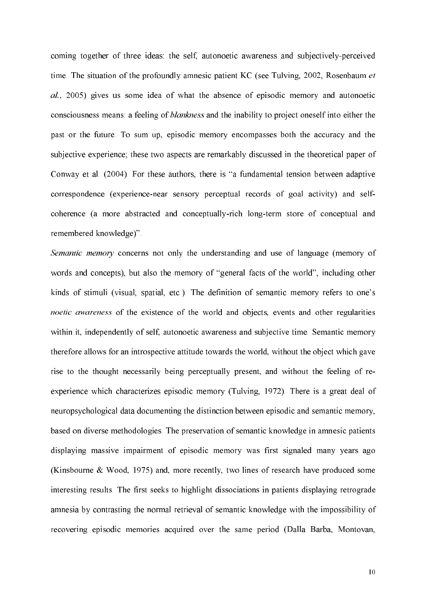coming together of three ideas: the self, autonoetic awareness and subjectively-perceived time. The situation of the profoundly amnesic patient KC (see Tulving, 2002, Rosenbaum et al., 2005) gives us some idea of what the absence of episodic memory and autonoetic consciousness means: a feeling of *blankness* and the inability to project oneself into either the past or the future. To sum up, episodic memory encompasses both the accuracy and the subjective experience; these two aspects are remarkably discussed in the theoretical paper of Conway et al. (2004). For these authors, there is "a fundamental tension between adaptive correspondence (experience-near sensory perceptual records of goal activity) and selfcoherence (a more abstracted and conceptually-rich long-term store of conceptual and remembered knowledge)".

Semantic memory concerns not only the understanding and use of language (memory of words and concepts), but also the memory of "general facts of the world", including other kinds of stimuli (visual, spatial, etc.). The definition of semantic memory refers to one's *noetic awareness* of the existence of the world and objects, events and other regularities within it, independently of self, autonoetic awareness and subjective time. Semantic memory therefore allows for an introspective attitude towards the world, without the object which gave rise to the thought necessarily being perceptually present, and without the feeling of reexperience which characterizes episodic memory (Tulving, 1972). There is a great deal of neuropsychological data documenting the distinction between episodic and semantic memory, based on diverse methodologies. The preservation of semantic knowledge in amnesic patients displaying massive impairment of episodic memory was first signaled many years ago (Kinsbourne & Wood, 1975) and, more recently, two lines of research have produced some interesting results. The first seeks to highlight dissociations in patients displaying retrograde amnesia by contrasting the normal retrieval of semantic knowledge with the impossibility of recovering episodic memories acquired over the same period (Dalla Barba, Montovan,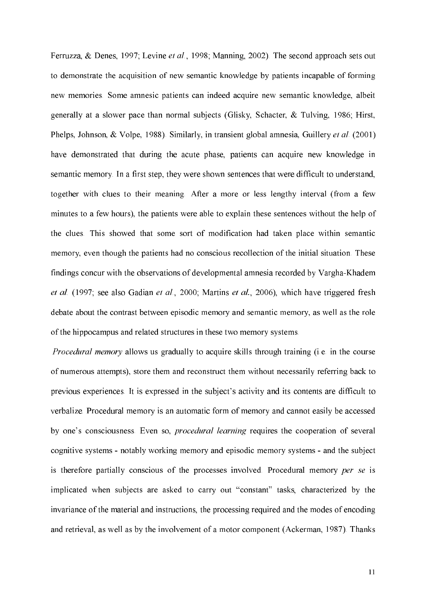Ferruzza, & Denes, 1997; Levine et al., 1998; Manning, 2002). The second approach sets out to demonstrate the acquisition of new semantic knowledge by patients incapable of forming new memories. Some amnesic patients can indeed acquire new semantic knowledge, albeit generally at a slower pace than normal subjects (Glisky, Schacter, & Tulving, 1986; Hirst, Phelps, Johnson, & Volpe, 1988). Similarly, in transient global amnesia, Guillery et al. (2001) have demonstrated that during the acute phase, patients can acquire new knowledge in semantic memory. In a first step, they were shown sentences that were difficult to understand, together with clues to their meaning. After a more or less lengthy interval (from a few minutes to a few hours), the patients were able to explain these sentences without the help of the clues. This showed that some sort of modification had taken place within semantic memory, even though the patients had no conscious recollection of the initial situation. These findings concur with the observations of developmental amnesia recorded by Vargha-Khadem et al. (1997; see also Gadian et al., 2000; Martins et al., 2006), which have triggered fresh debate about the contrast between episodic memory and semantic memory, as well as the role of the hippocampus and related structures in these two memory systems.

*Procedural memory* allows us gradually to acquire skills through training (i.e. in the course of numerous attempts), store them and reconstruct them without necessarily referring back to previous experiences. It is expressed in the subject's activity and its contents are difficult to verbalize. Procedural memory is an automatic form of memory and cannot easily be accessed by one's consciousness. Even so, procedural learning requires the cooperation of several cognitive systems - notably working memory and episodic memory systems - and the subject is therefore partially conscious of the processes involved. Procedural memory per se is implicated when subjects are asked to carry out "constant" tasks, characterized by the invariance of the material and instructions, the processing required and the modes of encoding and retrieval, as well as by the involvement of a motor component (Ackerman, 1987). Thanks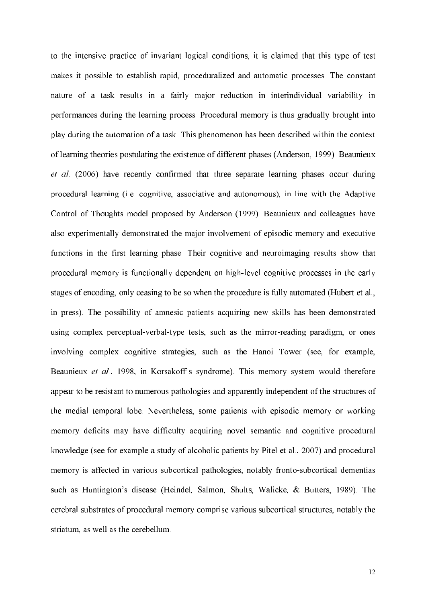to the intensive practice of invariant logical conditions, it is claimed that this type of test makes it possible to establish rapid, proceduralized and automatic processes. The constant nature of a task results in a fairly major reduction in interindividual variability in performances during the learning process. Procedural memory is thus gradually brought into play during the automation of a task. This phenomenon has been described within the context of learning theories postulating the existence of different phases (Anderson, 1999). Beaunieux et al. (2006) have recently confirmed that three separate learning phases occur during procedural learning (i.e. cognitive, associative and autonomous), in line with the Adaptive Control of Thoughts model proposed by Anderson (1999). Beaunieux and colleagues have also experimentally demonstrated the major involvement of episodic memory and executive functions in the first learning phase. Their cognitive and neuroimaging results show that procedural memory is functionally dependent on high-level cognitive processes in the early stages of encoding, only ceasing to be so when the procedure is fully automated (Hubert et al., in press). The possibility of amnesic patients acquiring new skills has been demonstrated using complex perceptual-verbal-type tests, such as the mirror-reading paradigm, or ones involving complex cognitive strategies, such as the Hanoi Tower (see, for example, Beaunieux et al., 1998, in Korsakoff's syndrome). This memory system would therefore appear to be resistant to numerous pathologies and apparently independent of the structures of the medial temporal lobe. Nevertheless, some patients with episodic memory or working memory deficits may have difficulty acquiring novel semantic and cognitive procedural knowledge (see for example a study of alcoholic patients by Pitel et al., 2007) and procedural memory is affected in various subcortical pathologies, notably fronto-subcortical dementias such as Huntington's disease (Heindel, Salmon, Shults, Walicke, & Butters, 1989). The cerebral substrates of procedural memory comprise various subcortical structures, notably the striatum, as well as the cerebellum.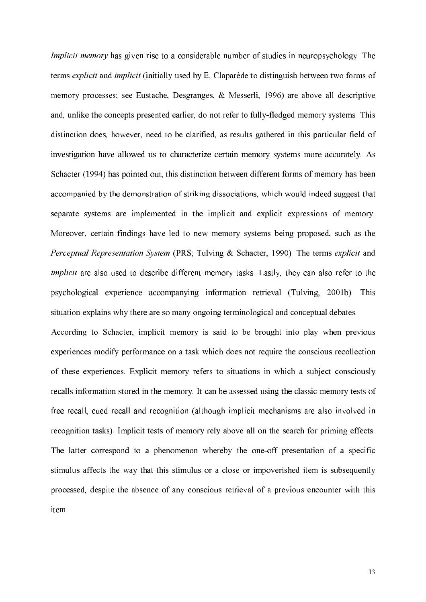*Implicit memory* has given rise to a considerable number of studies in neuropsychology. The terms *explicit* and *implicit* (initially used by E. Claparède to distinguish between two forms of memory processes; see Eustache, Desgranges, & Messerli, 1996) are above all descriptive and, unlike the concepts presented earlier, do not refer to fully-fledged memory systems. This distinction does, however, need to be clarified, as results gathered in this particular field of investigation have allowed us to characterize certain memory systems more accurately. As Schacter (1994) has pointed out, this distinction between different forms of memory has been accompanied by the demonstration of striking dissociations, which would indeed suggest that separate systems are implemented in the implicit and explicit expressions of memory. Moreover, certain findings have led to new memory systems being proposed, such as the Perceptual Representation System (PRS; Tulving & Schacter, 1990). The terms explicit and *implicit* are also used to describe different memory tasks. Lastly, they can also refer to the psychological experience accompanying information retrieval (Tulving, 2001b). This situation explains why there are so many ongoing terminological and conceptual debates.

According to Schacter, implicit memory is said to be brought into play when previous experiences modify performance on a task which does not require the conscious recollection of these experiences. Explicit memory refers to situations in which a subject consciously recalls information stored in the memory. It can be assessed using the classic memory tests of free recall, cued recall and recognition (although implicit mechanisms are also involved in recognition tasks). Implicit tests of memory rely above all on the search for priming effects. The latter correspond to a phenomenon whereby the one-off presentation of a specific stimulus affects the way that this stimulus or a close or impoverished item is subsequently processed, despite the absence of any conscious retrieval of a previous encounter with this item.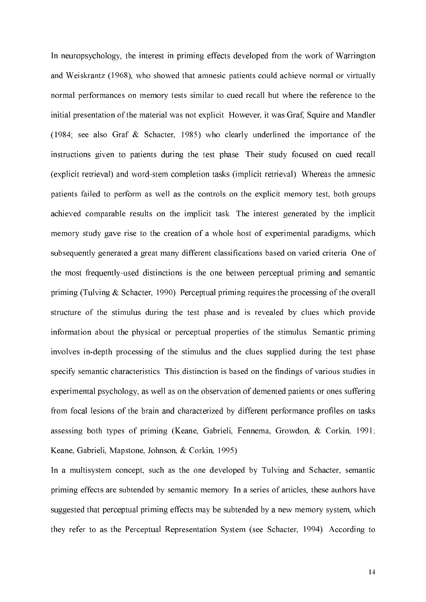In neuropsychology, the interest in priming effects developed from the work of Warrington and Weiskrantz (1968), who showed that amnesic patients could achieve normal or virtually normal performances on memory tests similar to cued recall but where the reference to the initial presentation of the material was not explicit. However, it was Graf, Squire and Mandler (1984; see also Graf & Schacter, 1985) who clearly underlined the importance of the instructions given to patients during the test phase. Their study focused on cued recall (explicit retrieval) and word-stem completion tasks (implicit retrieval). Whereas the amnesic patients failed to perform as well as the controls on the explicit memory test, both groups achieved comparable results on the implicit task. The interest generated by the implicit memory study gave rise to the creation of a whole host of experimental paradigms, which subsequently generated a great many different classifications based on varied criteria. One of the most frequently-used distinctions is the one between perceptual priming and semantic priming (Tulving  $&$  Schacter, 1990). Perceptual priming requires the processing of the overall structure of the stimulus during the test phase and is revealed by clues which provide information about the physical or perceptual properties of the stimulus. Semantic priming involves in-depth processing of the stimulus and the clues supplied during the test phase specify semantic characteristics. This distinction is based on the findings of various studies in experimental psychology, as well as on the observation of demented patients or ones suffering from focal lesions of the brain and characterized by different performance profiles on tasks assessing both types of priming (Keane, Gabrieli, Fennema, Growdon, & Corkin, 1991; Keane, Gabrieli, Mapstone, Johnson, & Corkin, 1995).

In a multisystem concept, such as the one developed by Tulving and Schacter, semantic priming effects are subtended by semantic memory. In a series of articles, these authors have suggested that perceptual priming effects may be subtended by a new memory system, which they refer to as the Perceptual Representation System (see Schacter, 1994). According to

 $14$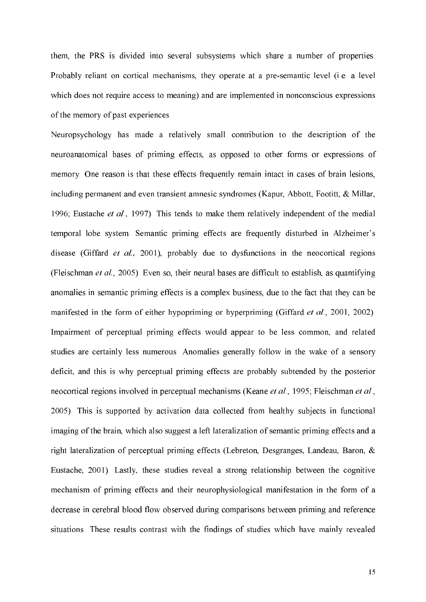them, the PRS is divided into several subsystems which share a number of properties. Probably reliant on cortical mechanisms, they operate at a pre-semantic level (i.e. a level which does not require access to meaning) and are implemented in nonconscious expressions of the memory of past experiences.

Neuropsychology has made a relatively small contribution to the description of the neuroanatomical bases of priming effects, as opposed to other forms or expressions of memory. One reason is that these effects frequently remain intact in cases of brain lesions, including permanent and even transient amnesic syndromes (Kapur, Abbott, Footitt, & Millar, 1996; Eustache et al., 1997). This tends to make them relatively independent of the medial temporal lobe system. Semantic priming effects are frequently disturbed in Alzheimer's disease (Giffard et al., 2001), probably due to dysfunctions in the neocortical regions (Fleischman et al., 2005). Even so, their neural bases are difficult to establish, as quantifying anomalies in semantic priming effects is a complex business, due to the fact that they can be manifested in the form of either hypopriming or hyperpriming (Giffard *et al.*, 2001, 2002). Impairment of perceptual priming effects would appear to be less common, and related studies are certainly less numerous. Anomalies generally follow in the wake of a sensory deficit, and this is why perceptual priming effects are probably subtended by the posterior neocortical regions involved in perceptual mechanisms (Keane et al., 1995; Fleischman et al., 2005). This is supported by activation data collected from healthy subjects in functional imaging of the brain, which also suggest a left lateralization of semantic priming effects and a right lateralization of perceptual priming effects (Lebreton, Desgranges, Landeau, Baron, & Eustache, 2001). Lastly, these studies reveal a strong relationship between the cognitive mechanism of priming effects and their neurophysiological manifestation in the form of a decrease in cerebral blood flow observed during comparisons between priming and reference situations. These results contrast with the findings of studies which have mainly revealed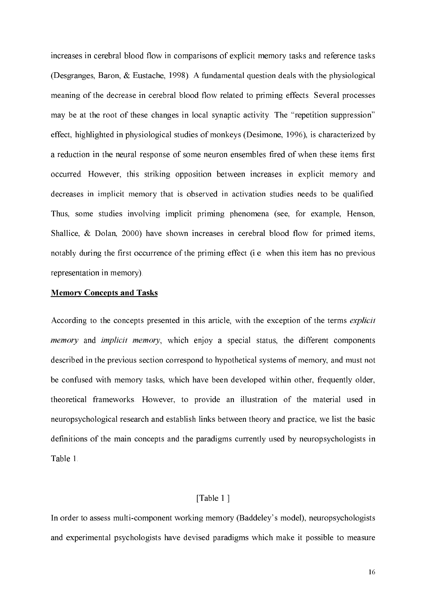increases in cerebral blood flow in comparisons of explicit memory tasks and reference tasks (Desgranges, Baron, & Eustache, 1998). A fundamental question deals with the physiological meaning of the decrease in cerebral blood flow related to priming effects. Several processes may be at the root of these changes in local synaptic activity. The "repetition suppression" effect, highlighted in physiological studies of monkeys (Desimone, 1996), is characterized by a reduction in the neural response of some neuron ensembles fired of when these items first occurred. However, this striking opposition between increases in explicit memory and decreases in implicit memory that is observed in activation studies needs to be qualified. Thus, some studies involving implicit priming phenomena (see, for example, Henson, Shallice, & Dolan, 2000) have shown increases in cerebral blood flow for primed items, notably during the first occurrence of the priming effect (i.e. when this item has no previous representation in memory).

# **Memory Concepts and Tasks**

According to the concepts presented in this article, with the exception of the terms explicit *memory* and *implicit memory*, which enjoy a special status, the different components described in the previous section correspond to hypothetical systems of memory, and must not be confused with memory tasks, which have been developed within other, frequently older, theoretical frameworks. However, to provide an illustration of the material used in neuropsychological research and establish links between theory and practice, we list the basic definitions of the main concepts and the paradigms currently used by neuropsychologists in Table 1

# [Table 1]

In order to assess multi-component working memory (Baddeley's model), neuropsychologists and experimental psychologists have devised paradigms which make it possible to measure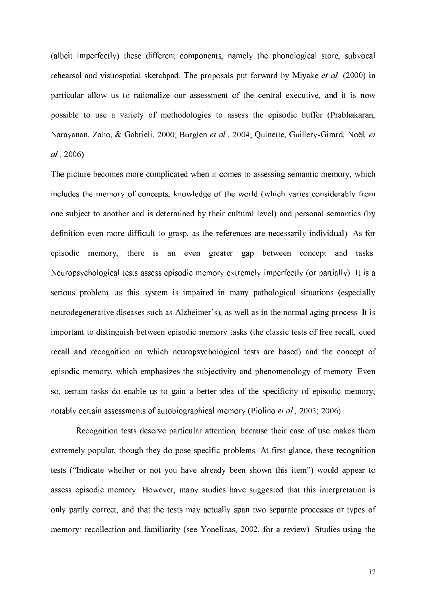(albeit imperfectly) these different components, namely the phonological store, subvocal rehearsal and visuospatial sketchpad. The proposals put forward by Miyake et al. (2000) in particular allow us to rationalize our assessment of the central executive, and it is now possible to use a variety of methodologies to assess the episodic buffer (Prabhakaran, Narayanan, Zaho, & Gabrieli, 2000; Burglen et al., 2004; Quinette, Guillery-Girard, Noël, et  $al. 2006$ ).

The picture becomes more complicated when it comes to assessing semantic memory, which includes the memory of concepts, knowledge of the world (which varies considerably from one subject to another and is determined by their cultural level) and personal semantics (by definition even more difficult to grasp, as the references are necessarily individual). As for episodic memory, there is an even greater gap between concept and tasks. Neuropsychological tests assess episodic memory extremely imperfectly (or partially). It is a serious problem, as this system is impaired in many pathological situations (especially neurodegenerative diseases such as Alzheimer's), as well as in the normal aging process. It is important to distinguish between episodic memory tasks (the classic tests of free recall, cued recall and recognition on which neuropsychological tests are based) and the concept of episodic memory, which emphasizes the subjectivity and phenomenology of memory. Even so, certain tasks do enable us to gain a better idea of the specificity of episodic memory, notably certain assessments of autobiographical memory (Piolino et al., 2003; 2006).

Recognition tests deserve particular attention, because their ease of use makes them extremely popular, though they do pose specific problems. At first glance, these recognition tests ("Indicate whether or not you have already been shown this item") would appear to assess episodic memory. However, many studies have suggested that this interpretation is only partly correct, and that the tests may actually span two separate processes or types of memory: recollection and familiarity (see Yonelinas, 2002, for a review). Studies using the

17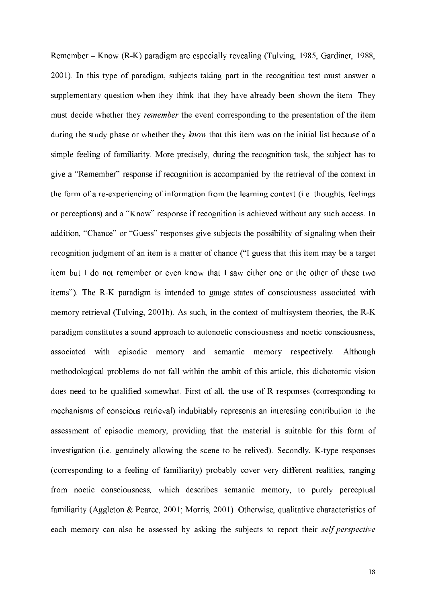Remember – Know (R-K) paradigm are especially revealing (Tulving, 1985, Gardiner, 1988, 2001). In this type of paradigm, subjects taking part in the recognition test must answer a supplementary question when they think that they have already been shown the item. They must decide whether they *remember* the event corresponding to the presentation of the item during the study phase or whether they know that this item was on the initial list because of a simple feeling of familiarity. More precisely, during the recognition task, the subject has to give a "Remember" response if recognition is accompanied by the retrieval of the context in the form of a re-experiencing of information from the learning context (i.e. thoughts, feelings or perceptions) and a "Know" response if recognition is achieved without any such access. In addition, "Chance" or "Guess" responses give subjects the possibility of signaling when their recognition judgment of an item is a matter of chance ("I guess that this item may be a target item but I do not remember or even know that I saw either one or the other of these two items"). The R-K paradigm is intended to gauge states of consciousness associated with memory retrieval (Tulving, 2001b). As such, in the context of multisystem theories, the R-K paradigm constitutes a sound approach to autonoetic consciousness and noetic consciousness, associated with episodic memory and semantic memory respectively. Although methodological problems do not fall within the ambit of this article, this dichotomic vision does need to be qualified somewhat. First of all, the use of R responses (corresponding to mechanisms of conscious retrieval) indubitably represents an interesting contribution to the assessment of episodic memory, providing that the material is suitable for this form of investigation (i.e. genuinely allowing the scene to be relived). Secondly, K-type responses (corresponding to a feeling of familiarity) probably cover very different realities, ranging from noetic consciousness, which describes semantic memory, to purely perceptual familiarity (Aggleton & Pearce, 2001; Morris, 2001). Otherwise, qualitative characteristics of each memory can also be assessed by asking the subjects to report their self-perspective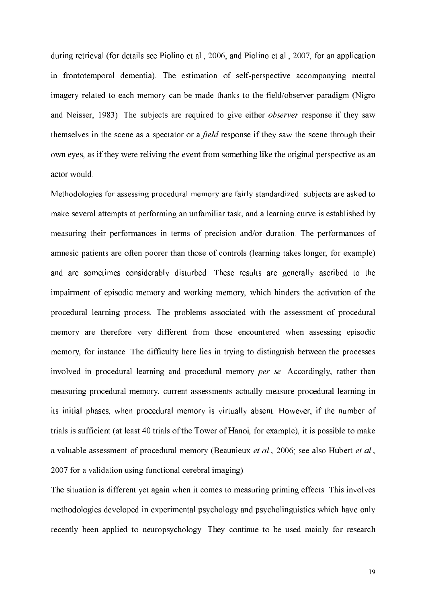during retrieval (for details see Piolino et al., 2006, and Piolino et al., 2007, for an application in frontotemporal dementia). The estimation of self-perspective accompanying mental imagery related to each memory can be made thanks to the field/observer paradigm (Nigro and Neisser, 1983). The subjects are required to give either *observer* response if they saw themselves in the scene as a spectator or a *field* response if they saw the scene through their own eves, as if they were reliving the event from something like the original perspective as an actor would.

Methodologies for assessing procedural memory are fairly standardized: subjects are asked to make several attempts at performing an unfamiliar task, and a learning curve is established by measuring their performances in terms of precision and/or duration. The performances of amnesic patients are often poorer than those of controls (learning takes longer, for example) and are sometimes considerably disturbed. These results are generally ascribed to the impairment of episodic memory and working memory, which hinders the activation of the procedural learning process. The problems associated with the assessment of procedural memory are therefore very different from those encountered when assessing episodic memory, for instance. The difficulty here lies in trying to distinguish between the processes involved in procedural learning and procedural memory per se. Accordingly, rather than measuring procedural memory, current assessments actually measure procedural learning in its initial phases, when procedural memory is virtually absent. However, if the number of trials is sufficient (at least 40 trials of the Tower of Hanoi, for example), it is possible to make a valuable assessment of procedural memory (Beaunieux et al., 2006; see also Hubert et al., 2007 for a validation using functional cerebral imaging).

The situation is different yet again when it comes to measuring priming effects. This involves methodologies developed in experimental psychology and psycholinguistics which have only recently been applied to neuropsychology. They continue to be used mainly for research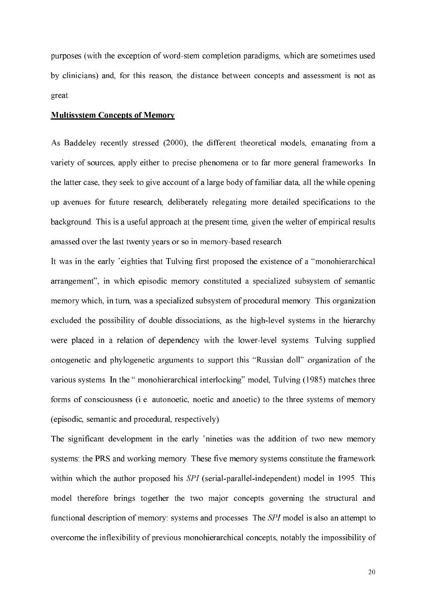purposes (with the exception of word-stem completion paradigms, which are sometimes used by clinicians) and, for this reason, the distance between concepts and assessment is not as great.

#### **Multisystem Concepts of Memory**

As Baddeley recently stressed (2000), the different theoretical models, emanating from a variety of sources, apply either to precise phenomena or to far more general frameworks. In the latter case, they seek to give account of a large body of familiar data, all the while opening up avenues for future research, deliberately relegating more detailed specifications to the background. This is a useful approach at the present time, given the welter of empirical results amassed over the last twenty years or so in memory-based research.

It was in the early 'eighties that Tulving first proposed the existence of a "monohierarchical arrangement", in which episodic memory constituted a specialized subsystem of semantic memory which, in turn, was a specialized subsystem of procedural memory. This organization excluded the possibility of double dissociations, as the high-level systems in the hierarchy were placed in a relation of dependency with the lower-level systems. Tulving supplied ontogenetic and phylogenetic arguments to support this "Russian doll" organization of the various systems. In the "monohierarchical interlocking" model, Tulving (1985) matches three forms of consciousness (i.e. autonoetic, noetic and anoetic) to the three systems of memory (episodic, semantic and procedural, respectively).

The significant development in the early 'nineties was the addition of two new memory systems: the PRS and working memory. These five memory systems constitute the framework within which the author proposed his SPI (serial-parallel-independent) model in 1995. This model therefore brings together the two major concepts governing the structural and functional description of memory: systems and processes. The SPI model is also an attempt to overcome the inflexibility of previous monohierarchical concepts, notably the impossibility of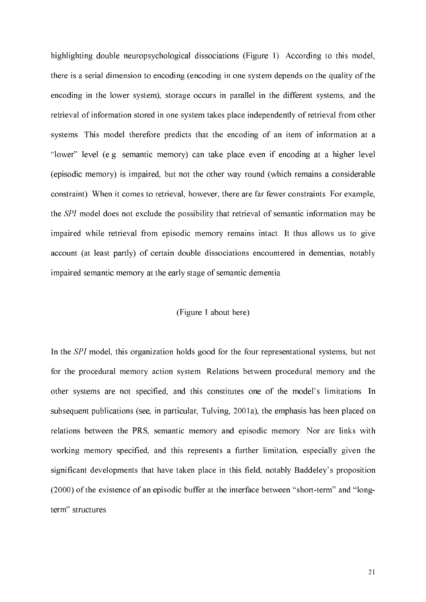highlighting double neuropsychological dissociations (Figure 1). According to this model, there is a serial dimension to encoding (encoding in one system depends on the quality of the encoding in the lower system), storage occurs in parallel in the different systems, and the retrieval of information stored in one system takes place independently of retrieval from other systems. This model therefore predicts that the encoding of an item of information at a "lower" level (e.g. semantic memory) can take place even if encoding at a higher level (episodic memory) is impaired, but not the other way round (which remains a considerable constraint). When it comes to retrieval, however, there are far fewer constraints. For example, the SPI model does not exclude the possibility that retrieval of semantic information may be impaired while retrieval from episodic memory remains intact. It thus allows us to give account (at least partly) of certain double dissociations encountered in dementias, notably impaired semantic memory at the early stage of semantic dementia.

# (Figure 1 about here)

In the SPI model, this organization holds good for the four representational systems, but not for the procedural memory action system. Relations between procedural memory and the other systems are not specified, and this constitutes one of the model's limitations. In subsequent publications (see, in particular, Tulving, 2001a), the emphasis has been placed on relations between the PRS, semantic memory and episodic memory. Nor are links with working memory specified, and this represents a further limitation, especially given the significant developments that have taken place in this field, notably Baddeley's proposition (2000) of the existence of an episodic buffer at the interface between "short-term" and "longterm" structures.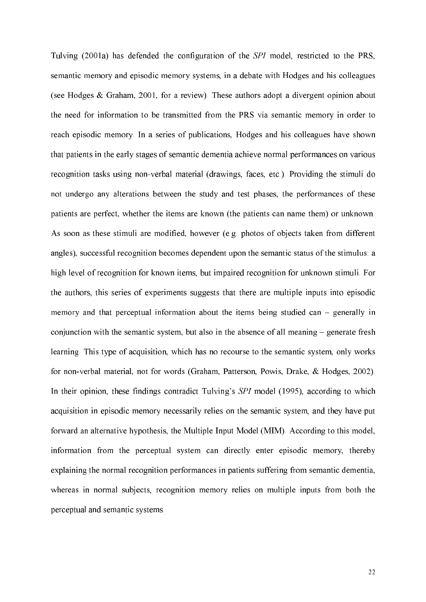Tulving (2001a) has defended the configuration of the SPI model, restricted to the PRS, semantic memory and episodic memory systems, in a debate with Hodges and his colleagues (see Hodges  $\&$  Graham, 2001, for a review). These authors adopt a divergent opinion about the need for information to be transmitted from the PRS via semantic memory in order to reach episodic memory. In a series of publications, Hodges and his colleagues have shown that patients in the early stages of semantic dementia achieve normal performances on various recognition tasks using non-verbal material (drawings, faces, etc.). Providing the stimuli do not undergo any alterations between the study and test phases, the performances of these patients are perfect, whether the items are known (the patients can name them) or unknown. As soon as these stimuli are modified, however (e.g. photos of objects taken from different angles), successful recognition becomes dependent upon the semantic status of the stimulus: a high level of recognition for known items, but impaired recognition for unknown stimuli. For the authors, this series of experiments suggests that there are multiple inputs into episodic memory and that perceptual information about the items being studied can – generally in conjunction with the semantic system, but also in the absence of all meaning – generate fresh learning. This type of acquisition, which has no recourse to the semantic system, only works for non-verbal material, not for words (Graham, Patterson, Powis, Drake, & Hodges, 2002). In their opinion, these findings contradict Tulving's SPI model (1995), according to which acquisition in episodic memory necessarily relies on the semantic system, and they have put forward an alternative hypothesis, the Multiple Input Model (MIM). According to this model, information from the perceptual system can directly enter episodic memory, thereby explaining the normal recognition performances in patients suffering from semantic dementia, whereas in normal subjects, recognition memory relies on multiple inputs from both the perceptual and semantic systems.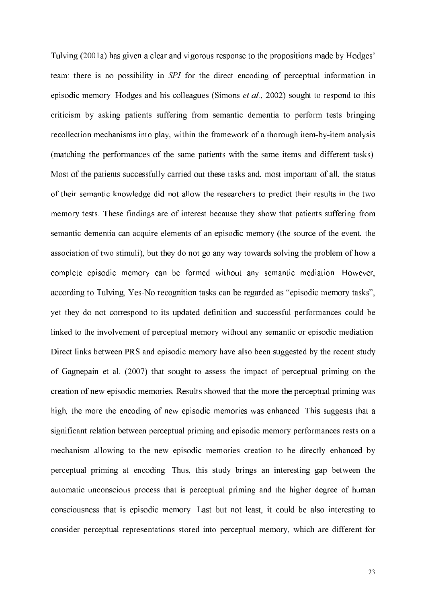Tulving (2001a) has given a clear and vigorous response to the propositions made by Hodges' team: there is no possibility in SPI for the direct encoding of perceptual information in episodic memory. Hodges and his colleagues (Simons *et al.*, 2002) sought to respond to this criticism by asking patients suffering from semantic dementia to perform tests bringing recollection mechanisms into play, within the framework of a thorough item-by-item analysis (matching the performances of the same patients with the same items and different tasks). Most of the patients successfully carried out these tasks and, most important of all, the status of their semantic knowledge did not allow the researchers to predict their results in the two memory tests. These findings are of interest because they show that patients suffering from semantic dementia can acquire elements of an episodic memory (the source of the event, the association of two stimuli), but they do not go any way towards solving the problem of how a complete episodic memory can be formed without any semantic mediation. However, according to Tulving, Yes-No recognition tasks can be regarded as "episodic memory tasks", yet they do not correspond to its updated definition and successful performances could be linked to the involvement of perceptual memory without any semantic or episodic mediation. Direct links between PRS and episodic memory have also been suggested by the recent study of Gagnepain et al. (2007) that sought to assess the impact of perceptual priming on the creation of new episodic memories. Results showed that the more the perceptual priming was high, the more the encoding of new episodic memories was enhanced. This suggests that a significant relation between perceptual priming and episodic memory performances rests on a mechanism allowing to the new episodic memories creation to be directly enhanced by perceptual priming at encoding. Thus, this study brings an interesting gap between the automatic unconscious process that is perceptual priming and the higher degree of human consciousness that is episodic memory. Last but not least, it could be also interesting to consider perceptual representations stored into perceptual memory, which are different for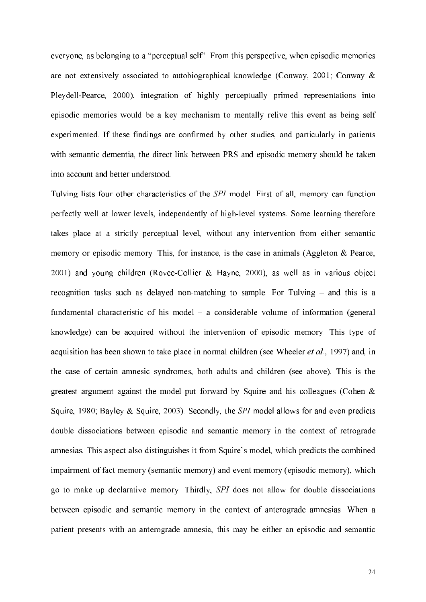everyone, as belonging to a "perceptual self". From this perspective, when episodic memories are not extensively associated to autobiographical knowledge (Conway, 2001; Conway & Pleydell-Pearce, 2000), integration of highly perceptually primed representations into episodic memories would be a key mechanism to mentally relive this event as being self experimented. If these findings are confirmed by other studies, and particularly in patients with semantic dementia, the direct link between PRS and episodic memory should be taken into account and better understood.

Tulving lists four other characteristics of the SPI model. First of all, memory can function perfectly well at lower levels, independently of high-level systems. Some learning therefore takes place at a strictly perceptual level, without any intervention from either semantic memory or episodic memory. This, for instance, is the case in animals (Aggleton  $\&$  Pearce, 2001) and young children (Rovee-Collier & Hayne, 2000), as well as in various object recognition tasks such as delayed non-matching to sample. For Tulving - and this is a fundamental characteristic of his model – a considerable volume of information (general knowledge) can be acquired without the intervention of episodic memory. This type of acquisition has been shown to take place in normal children (see Wheeler *et al.*, 1997) and, in the case of certain amnesic syndromes, both adults and children (see above). This is the greatest argument against the model put forward by Squire and his colleagues (Cohen  $\&$ Squire, 1980; Bayley & Squire, 2003). Secondly, the SPI model allows for and even predicts double dissociations between episodic and semantic memory in the context of retrograde amnesias. This aspect also distinguishes it from Squire's model, which predicts the combined impairment of fact memory (semantic memory) and event memory (episodic memory), which go to make up declarative memory. Thirdly, SPI does not allow for double dissociations between episodic and semantic memory in the context of anterograde amnesias. When a patient presents with an anterograde amnesia, this may be either an episodic and semantic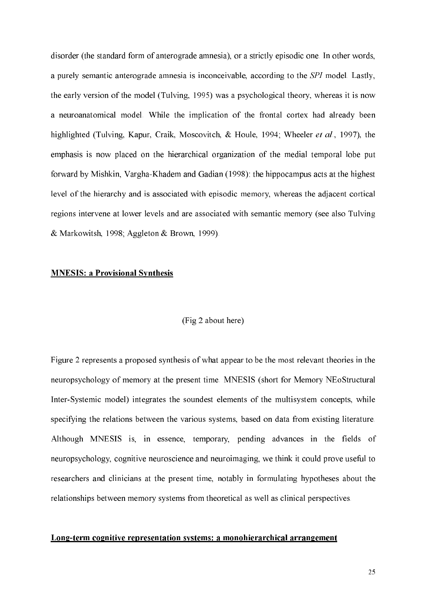disorder (the standard form of anterograde amnesia), or a strictly episodic one. In other words, a purely semantic anterograde amnesia is inconceivable, according to the SPI model. Lastly, the early version of the model (Tulving, 1995) was a psychological theory, whereas it is now a neuroanatomical model. While the implication of the frontal cortex had already been highlighted (Tulving, Kapur, Craik, Moscovitch, & Houle, 1994; Wheeler et al., 1997), the emphasis is now placed on the hierarchical organization of the medial temporal lobe put forward by Mishkin, Vargha-Khadem and Gadian (1998): the hippocampus acts at the highest level of the hierarchy and is associated with episodic memory, whereas the adjacent cortical regions intervene at lower levels and are associated with semantic memory (see also Tulving & Markowitsh, 1998; Aggleton & Brown, 1999).

## **MNESIS: a Provisional Synthesis**

### (Fig 2 about here)

Figure 2 represents a proposed synthesis of what appear to be the most relevant theories in the neuropsychology of memory at the present time. MNESIS (short for Memory NEoStructural Inter-Systemic model) integrates the soundest elements of the multisystem concepts, while specifying the relations between the various systems, based on data from existing literature. Although MNESIS is, in essence, temporary, pending advances in the fields of neuropsychology, cognitive neuroscience and neuroimaging, we think it could prove useful to researchers and clinicians at the present time, notably in formulating hypotheses about the relationships between memory systems from theoretical as well as clinical perspectives.

# Long-term cognitive representation systems: a monohierarchical arrangement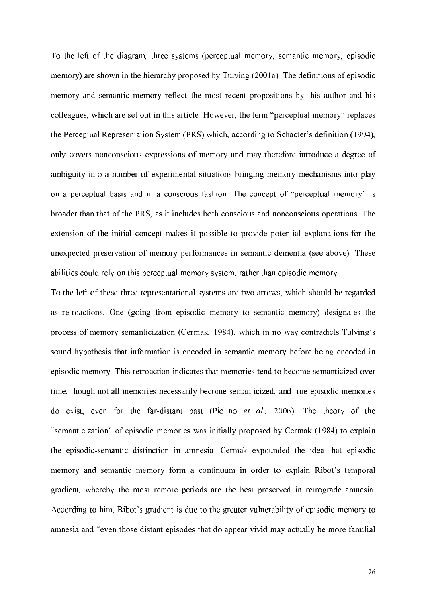To the left of the diagram, three systems (perceptual memory, semantic memory, episodic memory) are shown in the hierarchy proposed by Tulving (2001a). The definitions of episodic memory and semantic memory reflect the most recent propositions by this author and his colleagues, which are set out in this article. However, the term "perceptual memory" replaces the Perceptual Representation System (PRS) which, according to Schacter's definition (1994), only covers nonconscious expressions of memory and may therefore introduce a degree of ambiguity into a number of experimental situations bringing memory mechanisms into play on a perceptual basis and in a conscious fashion. The concept of "perceptual memory" is broader than that of the PRS, as it includes both conscious and nonconscious operations. The extension of the initial concept makes it possible to provide potential explanations for the unexpected preservation of memory performances in semantic dementia (see above). These abilities could rely on this perceptual memory system, rather than episodic memory.

To the left of these three representational systems are two arrows, which should be regarded as retroactions. One (going from episodic memory to semantic memory) designates the process of memory semanticization (Cermak, 1984), which in no way contradicts Tulving's sound hypothesis that information is encoded in semantic memory before being encoded in episodic memory. This retroaction indicates that memories tend to become semanticized over time, though not all memories necessarily become semanticized, and true episodic memories do exist, even for the far-distant past (Piolino *et al.*, 2006). The theory of the "semanticization" of episodic memories was initially proposed by Cermak (1984) to explain the episodic-semantic distinction in amnesia. Cermak expounded the idea that episodic memory and semantic memory form a continuum in order to explain Ribot's temporal gradient, whereby the most remote periods are the best preserved in retrograde amnesia. According to him, Ribot's gradient is due to the greater vulnerability of episodic memory to amnesia and "even those distant episodes that do appear vivid may actually be more familial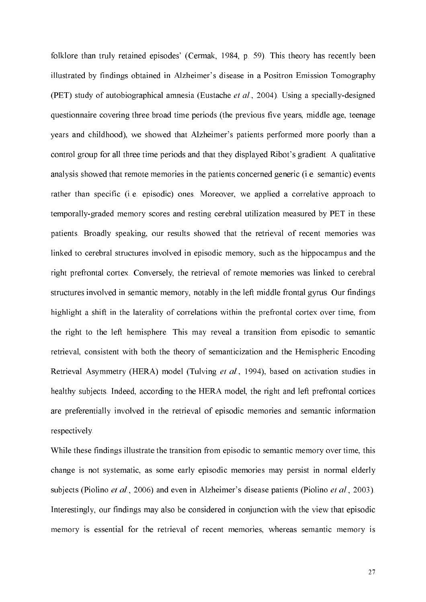folklore than truly retained episodes' (Cermak, 1984, p. 59). This theory has recently been illustrated by findings obtained in Alzheimer's disease in a Positron Emission Tomography (PET) study of autobiographical amnesia (Eustache et al., 2004). Using a specially-designed questionnaire covering three broad time periods (the previous five years, middle age, teenage years and childhood), we showed that Alzheimer's patients performed more poorly than a control group for all three time periods and that they displayed Ribot's gradient. A qualitative analysis showed that remote memories in the patients concerned generic (i.e. semantic) events rather than specific (i.e. episodic) ones. Moreover, we applied a correlative approach to temporally-graded memory scores and resting cerebral utilization measured by PET in these patients. Broadly speaking, our results showed that the retrieval of recent memories was linked to cerebral structures involved in episodic memory, such as the hippocampus and the right prefrontal cortex. Conversely, the retrieval of remote memories was linked to cerebral structures involved in semantic memory, notably in the left middle frontal gyrus. Our findings highlight a shift in the laterality of correlations within the prefrontal cortex over time, from the right to the left hemisphere. This may reveal a transition from episodic to semantic retrieval, consistent with both the theory of semanticization and the Hemispheric Encoding Retrieval Asymmetry (HERA) model (Tulving et al., 1994), based on activation studies in healthy subjects. Indeed, according to the HERA model, the right and left prefrontal cortices are preferentially involved in the retrieval of episodic memories and semantic information respectively.

While these findings illustrate the transition from episodic to semantic memory over time, this change is not systematic, as some early episodic memories may persist in normal elderly subjects (Piolino et al., 2006) and even in Alzheimer's disease patients (Piolino et al., 2003). Interestingly, our findings may also be considered in conjunction with the view that episodic memory is essential for the retrieval of recent memories, whereas semantic memory is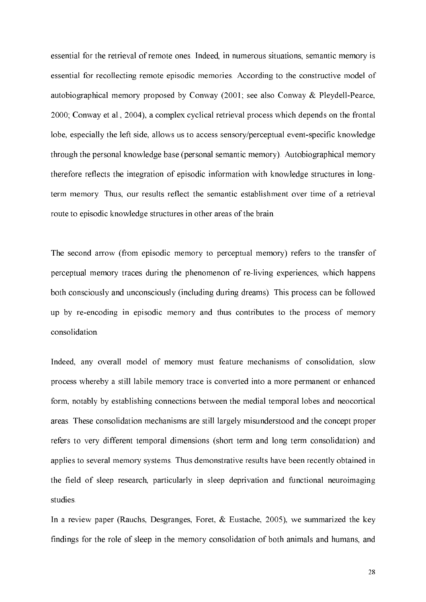essential for the retrieval of remote ones. Indeed, in numerous situations, semantic memory is essential for recollecting remote episodic memories. According to the constructive model of autobiographical memory proposed by Conway (2001; see also Conway & Pleydell-Pearce, 2000; Conway et al., 2004), a complex cyclical retrieval process which depends on the frontal lobe, especially the left side, allows us to access sensory/perceptual event-specific knowledge through the personal knowledge base (personal semantic memory). Autobiographical memory therefore reflects the integration of episodic information with knowledge structures in longterm memory. Thus, our results reflect the semantic establishment over time of a retrieval route to episodic knowledge structures in other areas of the brain.

The second arrow (from episodic memory to perceptual memory) refers to the transfer of perceptual memory traces during the phenomenon of re-living experiences, which happens both consciously and unconsciously (including during dreams). This process can be followed up by re-encoding in episodic memory and thus contributes to the process of memory consolidation.

Indeed, any overall model of memory must feature mechanisms of consolidation, slow process whereby a still labile memory trace is converted into a more permanent or enhanced form, notably by establishing connections between the medial temporal lobes and neocortical areas. These consolidation mechanisms are still largely misunderstood and the concept proper refers to very different temporal dimensions (short term and long term consolidation) and applies to several memory systems. Thus demonstrative results have been recently obtained in the field of sleep research, particularly in sleep deprivation and functional neuroimaging studies.

In a review paper (Rauchs, Desgranges, Foret, & Eustache, 2005), we summarized the key findings for the role of sleep in the memory consolidation of both animals and humans, and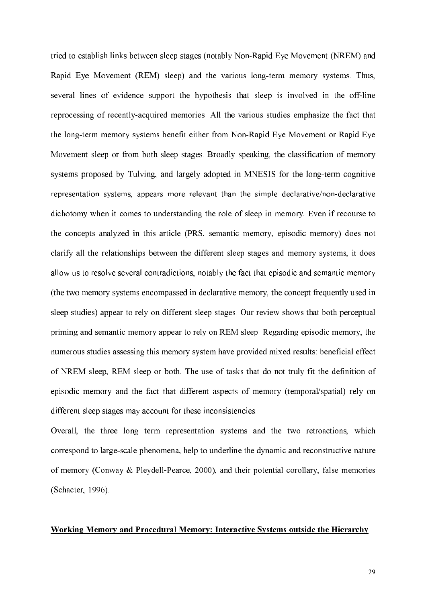tried to establish links between sleep stages (notably Non-Rapid Eye Movement (NREM) and Rapid Eye Movement (REM) sleep) and the various long-term memory systems. Thus, several lines of evidence support the hypothesis that sleep is involved in the off-line reprocessing of recently-acquired memories. All the various studies emphasize the fact that the long-term memory systems benefit either from Non-Rapid Eye Movement or Rapid Eye Movement sleep or from both sleep stages. Broadly speaking, the classification of memory systems proposed by Tulving, and largely adopted in MNESIS for the long-term cognitive representation systems, appears more relevant than the simple declarative/non-declarative dichotomy when it comes to understanding the role of sleep in memory. Even if recourse to the concepts analyzed in this article (PRS, semantic memory, episodic memory) does not clarify all the relationships between the different sleep stages and memory systems, it does allow us to resolve several contradictions, notably the fact that episodic and semantic memory (the two memory systems encompassed in declarative memory, the concept frequently used in sleep studies) appear to rely on different sleep stages. Our review shows that both perceptual priming and semantic memory appear to rely on REM sleep. Regarding episodic memory, the numerous studies assessing this memory system have provided mixed results: beneficial effect of NREM sleep, REM sleep or both. The use of tasks that do not truly fit the definition of episodic memory and the fact that different aspects of memory (temporal/spatial) rely on different sleep stages may account for these inconsistencies.

Overall, the three long term representation systems and the two retroactions, which correspond to large-scale phenomena, help to underline the dynamic and reconstructive nature of memory (Conway & Pleydell-Pearce, 2000), and their potential corollary, false memories (Schacter, 1996).

# **Working Memory and Procedural Memory: Interactive Systems outside the Hierarchy**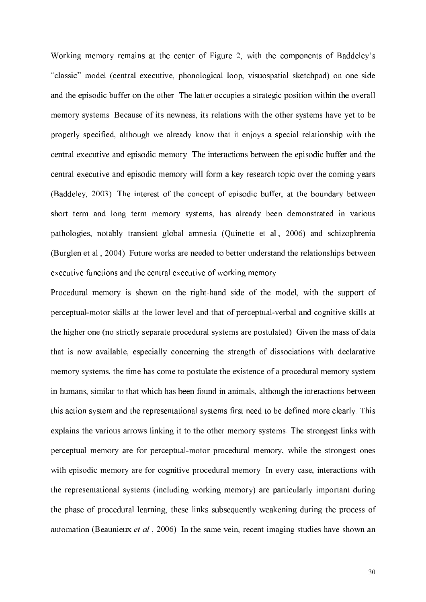Working memory remains at the center of Figure 2, with the components of Baddeley's "classic" model (central executive, phonological loop, visuospatial sketchpad) on one side and the episodic buffer on the other. The latter occupies a strategic position within the overall memory systems. Because of its newness, its relations with the other systems have yet to be properly specified, although we already know that it enjoys a special relationship with the central executive and episodic memory. The interactions between the episodic buffer and the central executive and episodic memory will form a key research topic over the coming years (Baddeley, 2003). The interest of the concept of episodic buffer, at the boundary between short term and long term memory systems, has already been demonstrated in various pathologies, notably transient global amnesia (Quinette et al., 2006) and schizophrenia (Burglen et al., 2004). Future works are needed to better understand the relationships between executive functions and the central executive of working memory.

Procedural memory is shown on the right-hand side of the model, with the support of perceptual-motor skills at the lower level and that of perceptual-verbal and cognitive skills at the higher one (no strictly separate procedural systems are postulated). Given the mass of data that is now available, especially concerning the strength of dissociations with declarative memory systems, the time has come to postulate the existence of a procedural memory system in humans, similar to that which has been found in animals, although the interactions between this action system and the representational systems first need to be defined more clearly. This explains the various arrows linking it to the other memory systems. The strongest links with perceptual memory are for perceptual-motor procedural memory, while the strongest ones with episodic memory are for cognitive procedural memory. In every case, interactions with the representational systems (including working memory) are particularly important during the phase of procedural learning, these links subsequently weakening during the process of automation (Beaunieux et al., 2006). In the same vein, recent imaging studies have shown an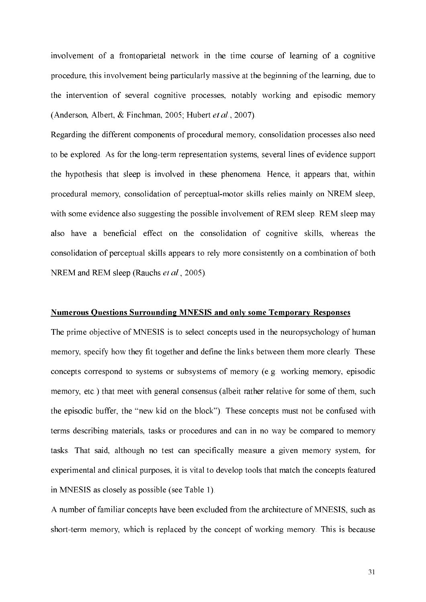involvement of a frontoparietal network in the time course of learning of a cognitive procedure, this involvement being particularly massive at the beginning of the learning, due to the intervention of several cognitive processes, notably working and episodic memory (Anderson, Albert, & Finchman, 2005; Hubert et al., 2007).

Regarding the different components of procedural memory, consolidation processes also need to be explored. As for the long-term representation systems, several lines of evidence support the hypothesis that sleep is involved in these phenomena. Hence, it appears that, within procedural memory, consolidation of perceptual-motor skills relies mainly on NREM sleep, with some evidence also suggesting the possible involvement of REM sleep. REM sleep may also have a beneficial effect on the consolidation of cognitive skills, whereas the consolidation of perceptual skills appears to rely more consistently on a combination of both NREM and REM sleep (Rauchs et al., 2005).

# **Numerous Questions Surrounding MNESIS and only some Temporary Responses**

The prime objective of MNESIS is to select concepts used in the neuropsychology of human memory, specify how they fit together and define the links between them more clearly. These concepts correspond to systems or subsystems of memory (e.g. working memory, episodic memory, etc.) that meet with general consensus (albeit rather relative for some of them, such the episodic buffer, the "new kid on the block"). These concepts must not be confused with terms describing materials, tasks or procedures and can in no way be compared to memory tasks. That said, although no test can specifically measure a given memory system, for experimental and clinical purposes, it is vital to develop tools that match the concepts featured in MNESIS as closely as possible (see Table 1).

A number of familiar concepts have been excluded from the architecture of MNESIS, such as short-term memory, which is replaced by the concept of working memory. This is because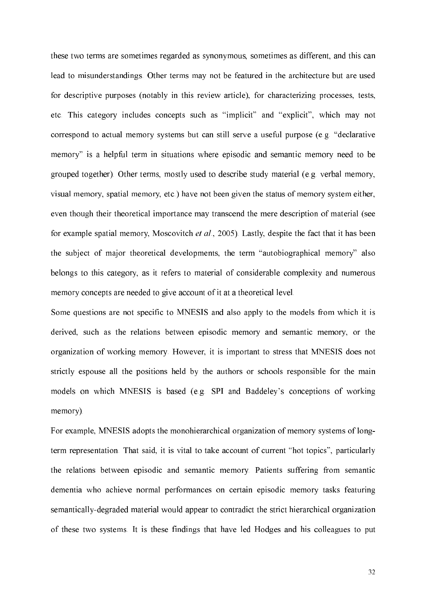these two terms are sometimes regarded as synonymous, sometimes as different, and this can lead to misunderstandings. Other terms may not be featured in the architecture but are used for descriptive purposes (notably in this review article), for characterizing processes, tests, etc. This category includes concepts such as "implicit" and "explicit", which may not correspond to actual memory systems but can still serve a useful purpose (e.g. "declarative memory" is a helpful term in situations where episodic and semantic memory need to be grouped together). Other terms, mostly used to describe study material (e.g. verbal memory, visual memory, spatial memory, etc.) have not been given the status of memory system either, even though their theoretical importance may transcend the mere description of material (see for example spatial memory, Moscovitch et al., 2005). Lastly, despite the fact that it has been the subject of major theoretical developments, the term "autobiographical memory" also belongs to this category, as it refers to material of considerable complexity and numerous memory concepts are needed to give account of it at a theoretical level.

Some questions are not specific to MNESIS and also apply to the models from which it is derived, such as the relations between episodic memory and semantic memory, or the organization of working memory. However, it is important to stress that MNESIS does not strictly espouse all the positions held by the authors or schools responsible for the main models on which MNESIS is based (e.g. SPI and Baddeley's conceptions of working memory).

For example, MNESIS adopts the monohierarchical organization of memory systems of longterm representation. That said, it is vital to take account of current "hot topics", particularly the relations between episodic and semantic memory. Patients suffering from semantic dementia who achieve normal performances on certain episodic memory tasks featuring semantically-degraded material would appear to contradict the strict hierarchical organization of these two systems. It is these findings that have led Hodges and his colleagues to put

32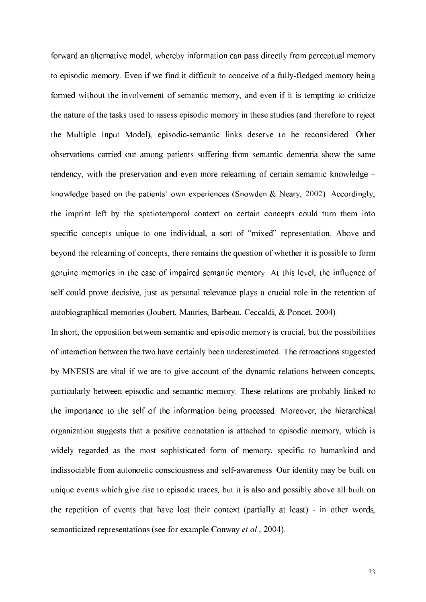forward an alternative model, whereby information can pass directly from perceptual memory to episodic memory. Even if we find it difficult to conceive of a fully-fledged memory being formed without the involvement of semantic memory, and even if it is tempting to criticize the nature of the tasks used to assess episodic memory in these studies (and therefore to reject the Multiple Input Model), episodic-semantic links deserve to be reconsidered. Other observations carried out among patients suffering from semantic dementia show the same tendency, with the preservation and even more relearning of certain semantic knowledge – knowledge based on the patients' own experiences (Snowden & Neary, 2002). Accordingly, the imprint left by the spatiotemporal context on certain concepts could turn them into specific concepts unique to one individual, a sort of "mixed" representation. Above and beyond the relearning of concepts, there remains the question of whether it is possible to form genuine memories in the case of impaired semantic memory. At this level, the influence of self could prove decisive, just as personal relevance plays a crucial role in the retention of autobiographical memories (Joubert, Mauries, Barbeau, Ceccaldi, & Poncet, 2004).

In short, the opposition between semantic and episodic memory is crucial, but the possibilities of interaction between the two have certainly been underestimated. The retroactions suggested by MNESIS are vital if we are to give account of the dynamic relations between concepts, particularly between episodic and semantic memory. These relations are probably linked to the importance to the self of the information being processed. Moreover, the hierarchical organization suggests that a positive connotation is attached to episodic memory, which is widely regarded as the most sophisticated form of memory, specific to humankind and indissociable from autonoetic consciousness and self-awareness. Our identity may be built on unique events which give rise to episodic traces, but it is also and possibly above all built on the repetition of events that have lost their context (partially at least) - in other words, semanticized representations (see for example Conway et al., 2004).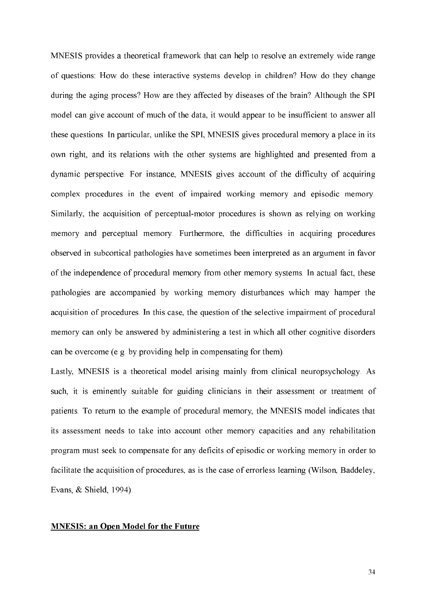MNESIS provides a theoretical framework that can help to resolve an extremely wide range of questions: How do these interactive systems develop in children? How do they change during the aging process? How are they affected by diseases of the brain? Although the SPI model can give account of much of the data, it would appear to be insufficient to answer all these questions. In particular, unlike the SPI, MNESIS gives procedural memory a place in its own right, and its relations with the other systems are highlighted and presented from a dynamic perspective. For instance, MNESIS gives account of the difficulty of acquiring complex procedures in the event of impaired working memory and episodic memory. Similarly, the acquisition of perceptual-motor procedures is shown as relying on working memory and perceptual memory. Furthermore, the difficulties in acquiring procedures observed in subcortical pathologies have sometimes been interpreted as an argument in favor of the independence of procedural memory from other memory systems. In actual fact, these pathologies are accompanied by working memory disturbances which may hamper the acquisition of procedures. In this case, the question of the selective impairment of procedural memory can only be answered by administering a test in which all other cognitive disorders can be overcome (e.g. by providing help in compensating for them).

Lastly, MNESIS is a theoretical model arising mainly from clinical neuropsychology. As such, it is eminently suitable for guiding clinicians in their assessment or treatment of patients. To return to the example of procedural memory, the MNESIS model indicates that its assessment needs to take into account other memory capacities and any rehabilitation program must seek to compensate for any deficits of episodic or working memory in order to facilitate the acquisition of procedures, as is the case of errorless learning (Wilson, Baddeley, Evans, & Shield, 1994).

#### **MNESIS: an Open Model for the Future**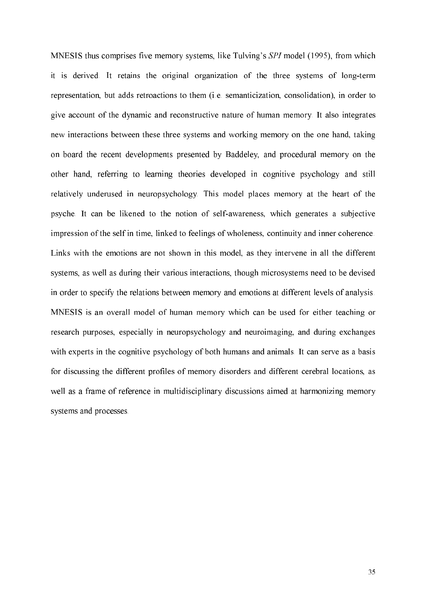MNESIS thus comprises five memory systems, like Tulving's SPI model (1995), from which it is derived. It retains the original organization of the three systems of long-term representation, but adds retroactions to them (i.e. semanticization, consolidation), in order to give account of the dynamic and reconstructive nature of human memory. It also integrates new interactions between these three systems and working memory on the one hand, taking on board the recent developments presented by Baddeley, and procedural memory on the other hand, referring to learning theories developed in cognitive psychology and still relatively underused in neuropsychology. This model places memory at the heart of the psyche. It can be likened to the notion of self-awareness, which generates a subjective impression of the self in time, linked to feelings of wholeness, continuity and inner coherence. Links with the emotions are not shown in this model, as they intervene in all the different systems, as well as during their various interactions, though microsystems need to be devised in order to specify the relations between memory and emotions at different levels of analysis. MNESIS is an overall model of human memory which can be used for either teaching or research purposes, especially in neuropsychology and neuroimaging, and during exchanges with experts in the cognitive psychology of both humans and animals. It can serve as a basis for discussing the different profiles of memory disorders and different cerebral locations, as well as a frame of reference in multidisciplinary discussions aimed at harmonizing memory systems and processes.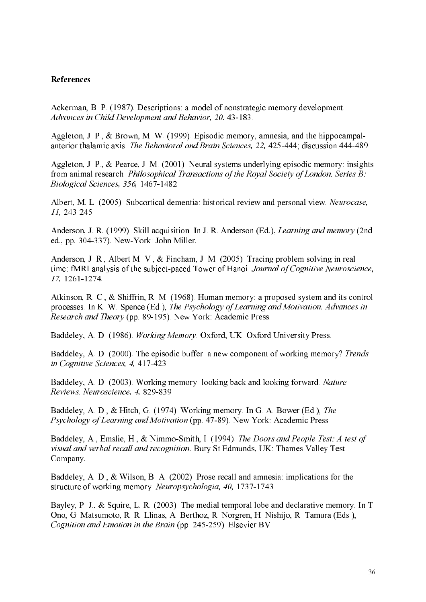# **References**

Ackerman, B. P. (1987). Descriptions: a model of nonstrategic memory development. Advances in Child Development and Behavior, 20, 43-183.

Aggleton, J. P., & Brown, M. W. (1999). Episodic memory, amnesia, and the hippocampalanterior thalamic axis. The Behavioral and Brain Sciences, 22, 425-444; discussion 444-489.

Aggleton, J. P., & Pearce, J. M. (2001). Neural systems underlying episodic memory: insights from animal research. Philosophical Transactions of the Royal Society of London. Series B: Biological Sciences, 356, 1467-1482.

Albert, M. L. (2005). Subcortical dementia: historical review and personal view. Neurocase, 11, 243-245.

Anderson, J. R. (1999). Skill acquisition. In J. R. Anderson (Ed.), Learning and memory (2nd ed., pp. 304-337). New-York: John Miller.

Anderson, J. R., Albert M. V., & Fincham, J. M. (2005). Tracing problem solving in real time: fMRI analysis of the subject-paced Tower of Hanoi. Journal of Cognitive Neuroscience, 17.1261-1274.

Atkinson, R. C., & Shiffrin, R. M. (1968). Human memory: a proposed system and its control processes. In K. W. Spence (Ed.), The Psychology of Learning and Motivation. Advances in Research and Theory (pp. 89-195). New York: Academic Press.

Baddeley, A. D. (1986). Working Memory, Oxford, UK: Oxford University Press.

Baddeley, A. D. (2000). The episodic buffer: a new component of working memory? Trends in Cognitive Sciences, 4, 417-423.

Baddeley, A. D. (2003). Working memory: looking back and looking forward. Nature Reviews. Neuroscience, 4, 829-839.

Baddeley, A. D., & Hitch, G. (1974). Working memory. In G. A. Bower (Ed.), The Psychology of Learning and Motivation (pp. 47-89). New York: Academic Press.

Baddeley, A., Emslie, H., & Nimmo-Smith, I. (1994). The Doors and People Test: A test of visual and verbal recall and recognition. Bury St Edmunds, UK: Thames Valley Test Company.

Baddeley, A. D., & Wilson, B. A. (2002). Prose recall and amnesia: implications for the structure of working memory. Neuropsychologia, 40, 1737-1743.

Bayley, P. J., & Squire, L. R. (2003). The medial temporal lobe and declarative memory. In T. Ono, G. Matsumoto, R. R. Llinas, A. Berthoz, R. Norgren, H. Nishijo, R. Tamura (Eds.), Cognition and Emotion in the Brain (pp. 245-259). Elsevier BV.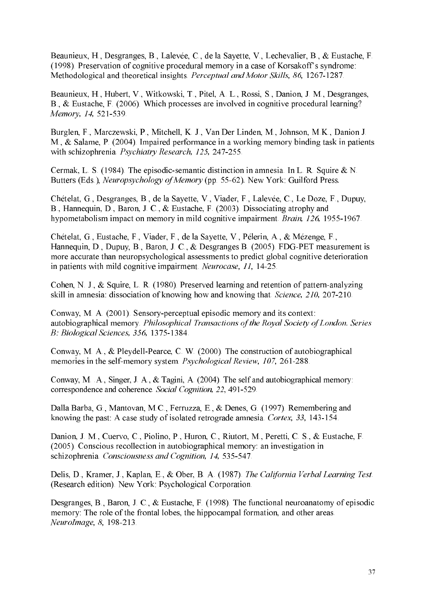Beaunieux, H., Desgranges, B., Lalevée, C., de la Sayette, V., Lechevalier, B., & Eustache, F. (1998). Preservation of cognitive procedural memory in a case of Korsakoff's syndrome: Methodological and theoretical insights. Perceptual and Motor Skills, 86, 1267-1287.

Beaunieux, H., Hubert, V., Witkowski, T., Pitel, A. L., Rossi, S., Danion, J. M., Desgranges, B., & Eustache, F. (2006). Which processes are involved in cognitive procedural learning? Memory, 14, 521-539.

Burglen, F., Marczewski, P., Mitchell, K. J., Van Der Linden, M., Johnson, M.K., Danion J. M., & Salame, P. (2004). Impaired performance in a working memory binding task in patients with schizophrenia. Psychiatry Research, 125, 247-255.

Cermak, L. S. (1984). The episodic-semantic distinction in amnesia. In L. R. Squire & N. Butters (Eds.), Neuropsychology of Memory (pp. 55-62). New York: Guilford Press.

Chételat, G., Desgranges, B., de la Sayette, V., Viader, F., Lalevée, C., Le Doze, F., Dupuy, B., Hannequin, D., Baron, J. C., & Eustache, F. (2003). Dissociating atrophy and hypometabolism impact on memory in mild cognitive impairment. Brain, 126, 1955-1967.

Chételat, G., Eustache, F., Viader, F., de la Sayette, V., Pélerin, A., & Mézenge, F., Hannequin, D., Dupuy, B., Baron, J. C., & Desgranges B. (2005). FDG-PET measurement is more accurate than neuropsychological assessments to predict global cognitive deterioration in patients with mild cognitive impairment. Neurocase, 11, 14-25.

Cohen, N. J., & Squire, L. R. (1980). Preserved learning and retention of pattern-analyzing skill in amnesia: dissociation of knowing how and knowing that. Science, 210, 207-210.

Conway, M. A. (2001). Sensory-perceptual episodic memory and its context: autobiographical memory. Philosophical Transactions of the Royal Society of London. Series B: Biological Sciences, 356, 1375-1384.

Conway, M. A., & Pleydell-Pearce, C. W. (2000). The construction of autobiographical memories in the self-memory system. Psychological Review, 107, 261-288.

Conway, M. A., Singer, J. A., & Tagini, A. (2004). The self and autobiographical memory: correspondence and coherence. Social Cognition. 22, 491-529.

Dalla Barba, G., Mantovan, M.C., Ferruzza, E., & Denes, G. (1997). Remembering and knowing the past: A case study of isolated retrograde amnesia. Cortex, 33, 143-154.

Danion, J. M., Cuervo, C., Piolino, P., Huron, C., Riutort, M., Peretti, C. S., & Eustache, F. (2005). Conscious recollection in autobiographical memory: an investigation in schizophrenia. Consciousness and Cognition, 14, 535-547.

Delis, D., Kramer, J., Kaplan, E., & Ober, B. A. (1987). The California Verbal Learning Test. (Research edition). New York: Psychological Corporation.

Desgranges, B., Baron, J. C., & Eustache, F. (1998). The functional neuroanatomy of episodic memory: The role of the frontal lobes, the hippocampal formation, and other areas. NeuroImage, 8, 198-213.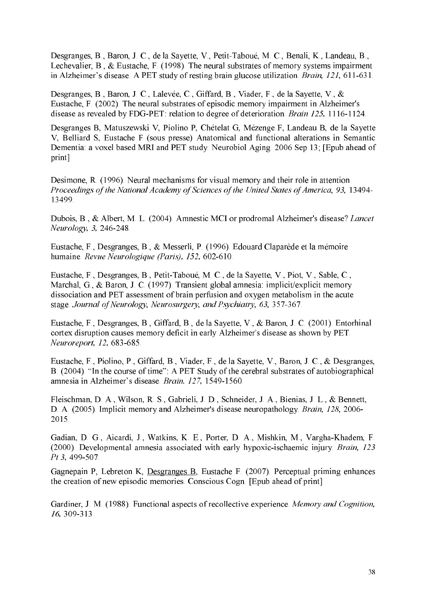Desgranges, B., Baron, J. C., de la Sayette, V., Petit-Taboué, M. C., Benali, K., Landeau, B., Lechevalier, B., & Eustache, F. (1998). The neural substrates of memory systems impairment in Alzheimer's disease. A PET study of resting brain glucose utilization. Brain, 121, 611-631.

Desgranges, B., Baron, J. C., Lalevée, C., Giffard, B., Viader, F., de la Sayette, V., & Eustache, F. (2002). The neural substrates of episodic memory impairment in Alzheimer's disease as revealed by FDG-PET: relation to degree of deterioration. *Brain 125*, 1116-1124.

Desgranges B, Matuszewski V, Piolino P, Chételat G, Mézenge F, Landeau B, de la Sayette V, Belliard S, Eustache F (sous presse) Anatomical and functional alterations in Semantic Dementia: a voxel based MRI and PET study. Neurobiol Aging. 2006 Sep 13; [Epub ahead of print]

Desimone, R. (1996). Neural mechanisms for visual memory and their role in attention. Proceedings of the National Academy of Sciences of the United States of America, 93, 13494-13499.

Dubois, B., & Albert, M. L. (2004). Amnestic MCI or prodromal Alzheimer's disease? Lancet Neurology, 3, 246-248.

Eustache, F., Desgranges, B., & Messerli, P. (1996). Edouard Claparède et la mémoire humaine. Revue Neurologique (Paris), 152, 602-610.

Eustache, F., Desgranges, B., Petit-Taboué, M. C., de la Sayette, V., Piot, V., Sable, C., Marchal, G., & Baron, J. C. (1997). Transient global amnesia: implicit/explicit memory dissociation and PET assessment of brain perfusion and oxygen metabolism in the acute stage. Journal of Neurology, Neurosurgery, and Psychiatry, 63, 357-367.

Eustache, F., Desgranges, B., Giffard, B., de la Sayette, V., & Baron, J. C. (2001). Entorhinal cortex disruption causes memory deficit in early Alzheimer's disease as shown by PET. Neuroreport, 12, 683-685.

Eustache, F., Piolino, P., Giffard, B., Viader, F., de la Sayette, V., Baron, J. C., & Desgranges, B. (2004). "In the course of time": A PET Study of the cerebral substrates of autobiographical amnesia in Alzheimer's disease. Brain. 127, 1549-1560.

Fleischman, D. A., Wilson, R. S., Gabrieli, J. D., Schneider, J. A., Bienias, J. L., & Bennett, D. A. (2005). Implicit memory and Alzheimer's disease neuropathology. Brain, 128, 2006-2015.

Gadian, D. G., Aicardi, J., Watkins, K. E., Porter, D. A., Mishkin, M., Vargha-Khadem, F. (2000). Developmental amnesia associated with early hypoxic-ischaemic injury. Brain, 123 Pt 3, 499-507.

Gagnepain P, Lebreton K, Desgranges B, Eustache F. (2007). Perceptual priming enhances the creation of new episodic memories. Conscious Cogn. [Epub ahead of print]

Gardiner, J. M. (1988). Functional aspects of recollective experience. Memory and Cognition,  $16.309 - 313.$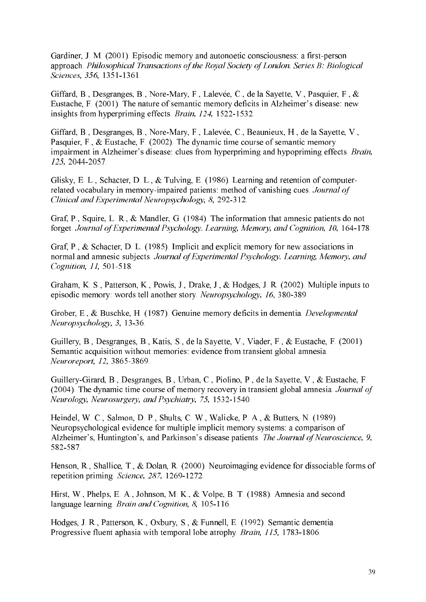Gardiner, J. M. (2001). Episodic memory and autonoetic consciousness: a first-person approach. Philosophical Transactions of the Royal Society of London. Series B: Biological Sciences, 356, 1351-1361.

Giffard, B., Desgranges, B., Nore-Mary, F., Lalevée, C., de la Savette, V., Pasquier, F., & Eustache, F. (2001). The nature of semantic memory deficits in Alzheimer's disease: new insights from hyperpriming effects. Brain, 124, 1522-1532.

Giffard, B., Desgranges, B., Nore-Mary, F., Lalevée, C., Beaunieux, H., de la Sayette, V., Pasquier, F., & Eustache, F. (2002). The dynamic time course of semantic memory impairment in Alzheimer's disease: clues from hyperpriming and hypopriming effects. Brain, 125, 2044-2057.

Glisky, E. L., Schacter, D. L., & Tulving, E. (1986). Learning and retention of computerrelated vocabulary in memory-impaired patients: method of vanishing cues. Journal of Clinical and Experimental Neuropsychology, 8, 292-312.

Graf, P., Squire, L. R., & Mandler, G. (1984). The information that amnesic patients do not forget. Journal of Experimental Psychology. Learning, Memory, and Cognition, 10, 164-178.

Graf, P., & Schacter, D. L. (1985). Implicit and explicit memory for new associations in normal and amnesic subjects *Journal of Experimental Psychology, Learning, Memory, and* Cognition, 11, 501-518.

Graham, K. S., Patterson, K., Powis, J., Drake, J., & Hodges, J. R. (2002). Multiple inputs to episodic memory: words tell another story. Neuropsychology, 16, 380-389.

Grober, E., & Buschke, H. (1987). Genuine memory deficits in dementia. Developmental Neuropsychology, 3, 13-36.

Guillery, B., Desgranges, B., Katis, S., de la Sayette, V., Viader, F., & Eustache, F. (2001). Semantic acquisition without memories: evidence from transient global amnesia. Neuroreport, 12, 3865-3869.

Guillery-Girard, B., Desgranges, B., Urban, C., Piolino, P., de la Savette, V., & Eustache, F. (2004). The dynamic time course of memory recovery in transient global amnesia. *Journal of* Neurology, Neurosurgery, and Psychiatry, 75, 1532-1540.

Heindel, W. C., Salmon, D. P., Shults, C. W., Walicke, P. A., & Butters, N. (1989). Neuropsychological evidence for multiple implicit memory systems: a comparison of Alzheimer's, Huntington's, and Parkinson's disease patients. The Journal of Neuroscience, 9, 582-587.

Henson, R., Shallice, T., & Dolan, R. (2000). Neuroimaging evidence for dissociable forms of repetition priming Science, 287, 1269-1272.

Hirst, W., Phelps, E. A., Johnson, M. K., & Volpe, B. T. (1988). Amnesia and second language learning. Brain and Cognition, 8, 105-116.

Hodges, J. R., Patterson, K., Oxbury, S., & Funnell, E. (1992). Semantic dementia. Progressive fluent aphasia with temporal lobe atrophy. Brain, 115, 1783-1806.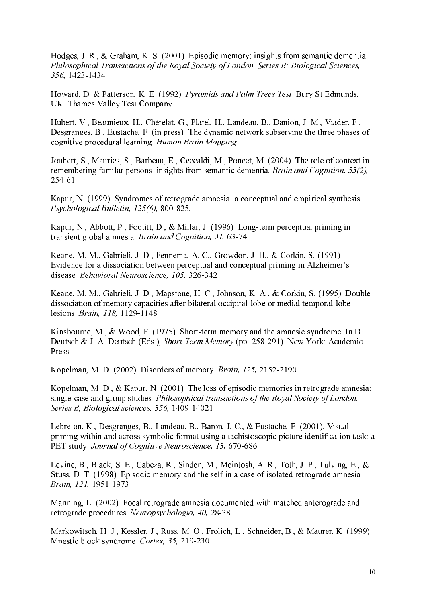Hodges, J. R., & Graham, K. S. (2001). Episodic memory: insights from semantic dementia. Philosophical Transactions of the Royal Society of London. Series B: Biological Sciences, 356, 1423-1434.

Howard, D. & Patterson, K. E. (1992). Pyramids and Palm Trees Test. Bury St Edmunds, UK: Thames Valley Test Company.

Hubert, V., Beaunieux, H., Chételat, G., Platel, H., Landeau, B., Danion, J. M., Viader, F., Desgranges, B., Eustache, F. (in press). The dynamic network subserving the three phases of cognitive procedural learning. Human Brain Mapping.

Joubert, S., Mauries, S., Barbeau, E., Ceccaldi, M., Poncet, M. (2004). The role of context in remembering familiar persons: insights from semantic dementia. Brain and Cognition, 55(2),  $254-61$ .

Kapur, N. (1999). Syndromes of retrograde amnesia: a conceptual and empirical synthesis. Psychological Bulletin, 125(6), 800-825.

Kapur, N., Abbott, P., Footitt, D., & Millar, J. (1996). Long-term perceptual priming in transient global amnesia. Brain and Cognition, 31, 63-74.

Keane, M. M., Gabrieli, J. D., Fennema, A. C., Growdon, J. H., & Corkin, S. (1991). Evidence for a dissociation between perceptual and conceptual priming in Alzheimer's disease. Behavioral Neuroscience, 105, 326-342.

Keane, M. M., Gabrieli, J. D., Mapstone, H. C., Johnson, K. A., & Corkin, S. (1995). Double dissociation of memory capacities after bilateral occipital-lobe or medial temporal-lobe lesions. Brain, 118, 1129-1148.

Kinsbourne, M., & Wood, F. (1975). Short-term memory and the amnesic syndrome. In D. Deutsch & J. A. Deutsch (Eds.), Short-Term Memory (pp. 258-291). New York: Academic Press

Kopelman, M. D. (2002). Disorders of memory. Brain, 125, 2152-2190.

Kopelman, M. D., & Kapur, N. (2001). The loss of episodic memories in retrograde amnesia: single-case and group studies. Philosophical transactions of the Royal Society of London. Series B, Biological sciences, 356, 1409-14021.

Lebreton, K., Desgranges, B., Landeau, B., Baron, J. C., & Eustache, F. (2001). Visual priming within and across symbolic format using a tachistoscopic picture identification task: a PET study. Journal of Cognitive Neuroscience, 13, 670-686.

Levine, B., Black, S. E., Cabeza, R., Sinden, M., Mcintosh, A. R., Toth, J. P., Tulving, E., & Stuss, D. T. (1998). Episodic memory and the self in a case of isolated retrograde amnesia. Brain, 121, 1951-1973.

Manning, L. (2002). Focal retrograde amnesia documented with matched anterograde and retrograde procedures. Neuropsychologia, 40, 28-38.

Markowitsch, H. J., Kessler, J., Russ, M. O., Frolich, L., Schneider, B., & Maurer, K. (1999). Mnestic block syndrome. Cortex, 35, 219-230.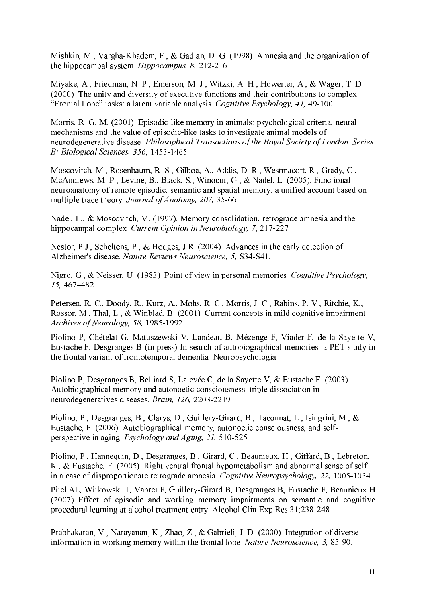Mishkin, M., Vargha-Khadem, F., & Gadian, D. G. (1998). Amnesia and the organization of the hippocampal system. *Hippocampus*, 8, 212-216.

Miyake, A., Friedman, N. P., Emerson, M. J., Witzki, A. H., Howerter, A., & Wager, T. D. (2000). The unity and diversity of executive functions and their contributions to complex "Frontal Lobe" tasks: a latent variable analysis. Cognitive Psychology, 41, 49-100.

Morris, R. G. M. (2001). Episodic-like memory in animals: psychological criteria, neural mechanisms and the value of episodic-like tasks to investigate animal models of neurodegenerative disease. Philosophical Transactions of the Royal Society of London. Series B: Biological Sciences, 356, 1453-1465.

Moscovitch, M., Rosenbaum, R. S., Gilboa, A., Addis, D. R., Westmacott, R., Grady, C., McAndrews, M. P., Levine, B., Black, S., Winocur, G., & Nadel, L. (2005). Functional neuroanatomy of remote episodic, semantic and spatial memory: a unified account based on multiple trace theory. Journal of Anatomy, 207, 35-66.

Nadel, L., & Moscovitch, M. (1997). Memory consolidation, retrograde amnesia and the hippocampal complex. Current Opinion in Neurobiology, 7, 217-227.

Nestor, P.J., Scheltens, P., & Hodges, J.R. (2004). Advances in the early detection of Alzheimer's disease. Nature Reviews Neuroscience, 5, S34-S41.

Nigro, G., & Neisser, U. (1983). Point of view in personal memories. Cognitive Psychology,  $15, 467 - 482.$ 

Petersen, R. C., Doody, R., Kurz, A., Mohs, R. C., Morris, J. C., Rabins, P. V., Ritchie, K., Rossor, M., Thal, L., & Winblad, B. (2001). Current concepts in mild cognitive impairment. Archives of Neurology, 58, 1985-1992.

Piolino P, Chételat G, Matuszewski V, Landeau B, Mézenge F, Viader F, de la Sayette V, Eustache F, Desgranges B (in press) In search of autobiographical memories: a PET study in the frontal variant of frontotemporal dementia. Neuropsychologia.

Piolino P, Desgranges B, Belliard S, Lalevée C, de la Sayette V, & Eustache F. (2003). Autobiographical memory and autonoetic consciousness: triple dissociation in neurodegeneratives diseases. Brain, 126, 2203-2219.

Piolino, P., Desgranges, B., Clarys, D., Guillery-Girard, B., Taconnat, L., Isingrini, M., & Eustache, F. (2006). Autobiographical memory, autonoetic consciousness, and selfperspective in aging *Psychology and Aging*, 21, 510-525.

Piolino, P., Hannequin, D., Desgranges, B., Girard, C., Beaunieux, H., Giffard, B., Lebreton, K., & Eustache, F. (2005). Right ventral frontal hypometabolism and abnormal sense of self in a case of disproportionate retrograde amnesia. Cognitive Neuropsychology, 22, 1005-1034.

Pitel AL, Witkowski T, Vabret F, Guillery-Girard B, Desgranges B, Eustache F, Beaunieux H (2007) Effect of episodic and working memory impairments on semantic and cognitive procedural learning at alcohol treatment entry. Alcohol Clin Exp Res 31:238-248.

Prabhakaran, V., Narayanan, K., Zhao, Z., & Gabrieli, J. D. (2000). Integration of diverse information in working memory within the frontal lobe. Nature Neuroscience, 3, 85-90.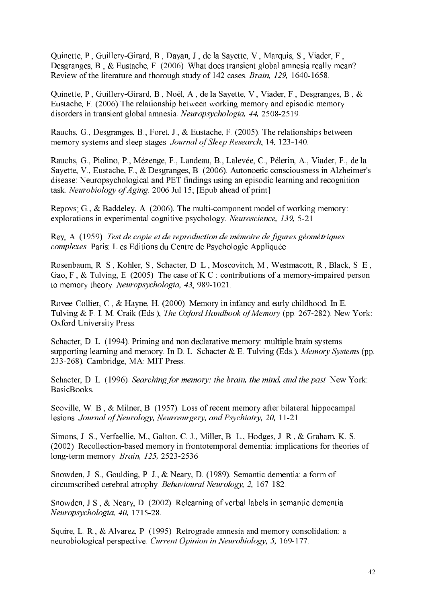Quinette, P., Guillery-Girard, B., Dayan, J., de la Sayette, V., Marquis, S., Viader, F., Desgranges, B., & Eustache, F. (2006). What does transient global amnesia really mean? Review of the literature and thorough study of 142 cases. Brain, 129, 1640-1658.

Quinette, P., Guillery-Girard, B., Noël, A., de la Savette, V., Viader, F., Desgranges, B., & Eustache, F. (2006) The relationship between working memory and episodic memory disorders in transient global amnesia. Neuropsychologia, 44, 2508-2519.

Rauchs, G., Desgranges, B., Foret, J., & Eustache, F. (2005). The relationships between memory systems and sleep stages. Journal of Sleep Research, 14, 123-140.

Rauchs, G., Piolino, P., Mézenge, F., Landeau, B., Lalevée, C., Pélerin, A., Viader, F., de la Sayette, V., Eustache, F., & Desgranges, B. (2006). Autonoetic consciousness in Alzheimer's disease: Neuropsychological and PET findings using an episodic learning and recognition task. Neurobiology of Aging. 2006 Jul 15; [Epub ahead of print]

Repovs; G., & Baddeley, A. (2006). The multi-component model of working memory: explorations in experimental cognitive psychology. Neuroscience, 139, 5-21.

Rey, A. (1959). Test de copie et de reproduction de mémoire de figures géométriques *complexes*. Paris: L es Editions du Centre de Psychologie Appliquée.

Rosenbaum, R. S., Kohler, S., Schacter, D. L., Moscovitch, M., Westmacott, R., Black, S. E., Gao, F., & Tulving, E. (2005). The case of K.C.: contributions of a memory-impaired person to memory theory. Neuropsychologia, 43, 989-1021.

Rovee-Collier, C., & Hayne, H. (2000). Memory in infancy and early childhood. In E. Tulving & F. I. M. Craik (Eds.), *The Oxford Handbook of Memory* (pp. 267-282). New York: Oxford University Press.

Schacter, D. L. (1994). Priming and non declarative memory: multiple brain systems supporting learning and memory. In D. L. Schacter & E. Tulving (Eds.), Memory Systems (pp. 233-268). Cambridge, MA: MIT Press.

Schacter, D. L. (1996). Searching for memory: the brain, the mind, and the past. New York: BasicBooks.

Scoville, W. B., & Milner, B. (1957). Loss of recent memory after bilateral hippocampal lesions. Journal of Neurology, Neurosurgery, and Psychiatry, 20, 11-21.

Simons, J. S., Verfaellie, M., Galton, C. J., Miller, B. L., Hodges, J. R., & Graham, K. S. (2002). Recollection-based memory in frontotemporal dementia: implications for theories of long-term memory. Brain, 125, 2523-2536.

Snowden, J. S., Goulding, P. J., & Neary, D. (1989). Semantic dementia: a form of circumscribed cerebral atrophy. Behavioural Neurology, 2, 167-182.

Snowden, J.S., & Neary, D. (2002). Relearning of verbal labels in semantic dementia. Neuropsychologia, 40, 1715-28.

Squire, L. R., & Alvarez, P. (1995). Retrograde amnesia and memory consolidation: a neurobiological perspective. Current Opinion in Neurobiology, 5, 169-177.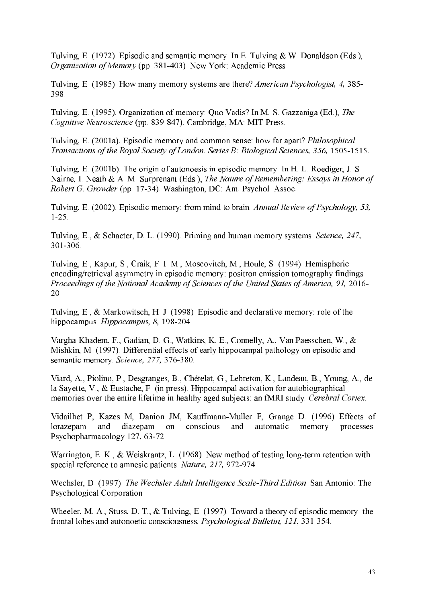Tulving, E. (1972). Episodic and semantic memory. In E. Tulving & W. Donaldson (Eds.), Organization of Memory (pp. 381-403). New York: Academic Press.

Tulving, E. (1985). How many memory systems are there? American Psychologist, 4, 385-398.

Tulving, E. (1995). Organization of memory: Quo Vadis? In M. S. Gazzaniga (Ed.), The Cognitive Neuroscience (pp. 839-847). Cambridge, MA: MIT Press.

Tulving, E. (2001a). Episodic memory and common sense: how far apart? *Philosophical* Transactions of the Royal Society of London. Series B: Biological Sciences, 356, 1505-1515.

Tulving, E. (2001b). The origin of autonoesis in episodic memory. In H. L. Roediger, J. S. Nairne, I. Neath & A. M. Surprenant (Eds.), The Nature of Remembering: Essays in Honor of *Robert G. Growder* (pp. 17-34). Washington, DC: Am. Psychol. Assoc.

Tulving, E. (2002). Episodic memory: from mind to brain. Annual Review of Psychology, 53,  $1-25$ .

Tulving, E., & Schacter, D. L. (1990). Priming and human memory systems. Science, 247, 301-306.

Tulving, E., Kapur, S., Craik, F. I. M., Moscovitch, M., Houle, S. (1994). Hemispheric encoding/retrieval asymmetry in episodic memory: positron emission tomography findings. Proceedings of the National Academy of Sciences of the United States of America, 91, 2016-20.

Tulving, E., & Markowitsch, H. J. (1998). Episodic and declarative memory: role of the hippocampus. Hippocampus, 8, 198-204.

Vargha-Khadem, F., Gadian, D. G., Watkins, K. E., Connelly, A., Van Paesschen, W., & Mishkin, M. (1997). Differential effects of early hippocampal pathology on episodic and semantic memory. Science, 277, 376-380.

Viard, A., Piolino, P., Desgranges, B., Chételat, G., Lebreton, K., Landeau, B., Young, A., de la Sayette, V., & Eustache, F. (in press). Hippocampal activation for autobiographical memories over the entire lifetime in healthy aged subjects: an fMRI study. Cerebral Cortex.

Vidailhet P, Kazes M, Danion JM, Kauffmann-Muller F, Grange D. (1996) Effects of lorazepam and diazepam on conscious and automatic memory processes. Psychopharmacology 127, 63-72.

Warrington, E. K., & Weiskrantz, L. (1968). New method of testing long-term retention with special reference to amnesic patients. Nature, 217, 972-974.

Wechsler, D. (1997). The Wechsler Adult Intelligence Scale-Third Edition. San Antonio: The Psychological Corporation.

Wheeler, M. A., Stuss, D. T.,  $&$  Tulving, E. (1997). Toward a theory of episodic memory: the frontal lobes and autonoetic consciousness. Psychological Bulletin, 121, 331-354.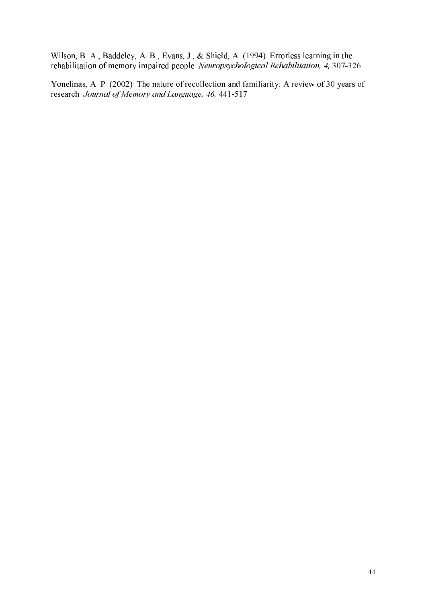Wilson, B. A., Baddeley, A. B., Evans, J., & Shield, A. (1994). Errorless learning in the rehabilitation of memory impaired people. *Neuropsychological Rehabilitation*, 4, 307-326.

Yonelinas, A. P. (2002). The nature of recollection and familiarity: A review of 30 years of research. Journal of Memory and Language, 46, 441-517.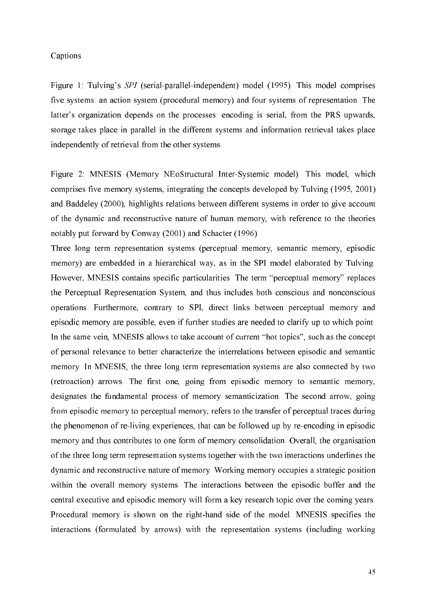## Captions

Figure 1: Tulving's SPI (serial-parallel-independent) model (1995). This model comprises five systems: an action system (procedural memory) and four systems of representation. The latter's organization depends on the processes: encoding is serial, from the PRS upwards, storage takes place in parallel in the different systems and information retrieval takes place independently of retrieval from the other systems.

Figure 2: MNESIS (Memory NEoStructural Inter-Systemic model). This model, which comprises five memory systems, integrating the concepts developed by Tulving (1995, 2001) and Baddeley (2000), highlights relations between different systems in order to give account of the dynamic and reconstructive nature of human memory, with reference to the theories notably put forward by Conway (2001) and Schacter (1996).

Three long term representation systems (perceptual memory, semantic memory, episodic memory) are embedded in a hierarchical way, as in the SPI model elaborated by Tulving. However, MNESIS contains specific particularities. The term "perceptual memory" replaces the Perceptual Representation System, and thus includes both conscious and nonconscious operations. Furthermore, contrary to SPI, direct links between perceptual memory and episodic memory are possible, even if further studies are needed to clarify up to which point. In the same vein, MNESIS allows to take account of current "hot topics", such as the concept of personal relevance to better characterize the interrelations between episodic and semantic memory. In MNESIS, the three long term representation systems are also connected by two (retroaction) arrows. The first one, going from episodic memory to semantic memory, designates the fundamental process of memory semanticization. The second arrow, going from episodic memory to perceptual memory, refers to the transfer of perceptual traces during the phenomenon of re-living experiences, that can be followed up by re-encoding in episodic memory and thus contributes to one form of memory consolidation. Overall, the organisation of the three long term representation systems together with the two interactions underlines the dynamic and reconstructive nature of memory. Working memory occupies a strategic position within the overall memory systems. The interactions between the episodic buffer and the central executive and episodic memory will form a key research topic over the coming years. Procedural memory is shown on the right-hand side of the model. MNESIS specifies the interactions (formulated by arrows) with the representation systems (including working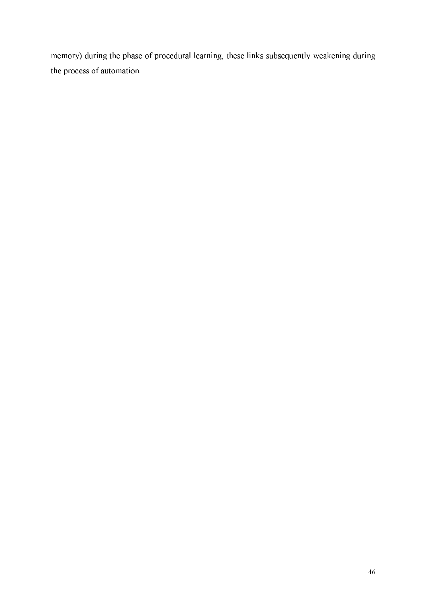memory) during the phase of procedural learning, these links subsequently weakening during the process of automation.